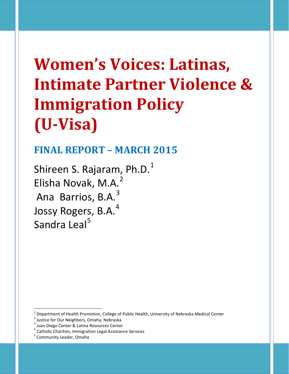# **Women's Voices: Latinas, Intimate Partner Violence & Immigration Policy (U-Visa)**

## **FINAL REPORT – MARCH 2015**

Shireen S. Rajaram, Ph.D.<sup>[1](#page-0-0)</sup> Elisha Novak, M.A.<sup>[2](#page-0-1)</sup> Ana Barrios, B.A.<sup>[3](#page-0-2)</sup> Jossy Rogers, B.A.<sup>[4](#page-0-3)</sup> Sandra Leal<sup>[5](#page-0-4)</sup>

<span id="page-0-0"></span><sup>&</sup>lt;sup>1</sup> Department of Health Promotion, College of Public Health, University of Nebraska Medical Center<br>
<sup>2</sup> Justice for Our Neighbors, Omaha, Nebraska<br>  $^3$  Juan Diego Center & Latina Resources Center<br>  $^4$  Catholic Charitie

<span id="page-0-1"></span>

<span id="page-0-2"></span>

<span id="page-0-3"></span>

<span id="page-0-4"></span>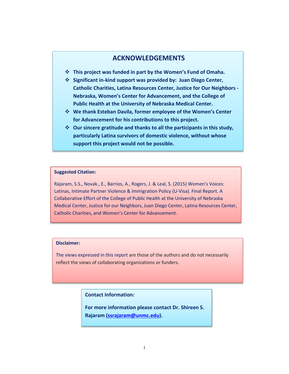#### **ACKNOWLEDGEMENTS**

- **This project was funded in part by the Women's Fund of Omaha.**
- **Significant in-kind support was provided by: Juan Diego Center, Catholic Charities, Latina Resources Center, Justice for Our Neighbors - Nebraska, Women's Center for Advancement, and the College of Public Health at the University of Nebraska Medical Center.**
- **We thank Esteban Davila, former employee of the Women's Center for Advancement for his contributions to this project.**
- **Our sincere gratitude and thanks to all the participants in this study, particularly Latina survivors of domestic violence, without whose support this project would not be possible.**

#### **Suggested Citation:**

Rajaram, S.S., Novak., E., Barrios, A., Rogers, J. & Leal, S. (2015) Women's Voices: Latinas, Intimate Partner Violence & Immigration Policy (U-Visa). Final Report. A Collaborative Effort of the College of Public Health at the University of Nebraska Medical Center, Justice for our Neighbors, Juan Diego Center, Latina Resources Center, Catholic Charities, and Women's Center for Advancement.

#### **Disclaimer:**

 reflect the views of collaborating organizations or funders. The views expressed in this report are those of the authors and do not necessarily

**Contact Information:**

**For more information please contact Dr. Shireen S. Rajaram [\(ssrajaram@unmc.edu\)](mailto:ssrajaram@unmc.edu).**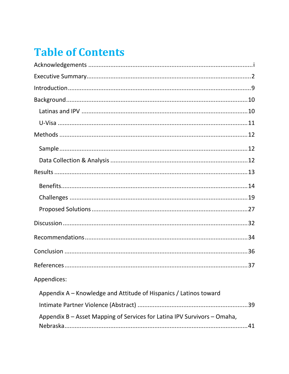## **Table of Contents**

| Appendices:                                                              |
|--------------------------------------------------------------------------|
| Appendix A – Knowledge and Attitude of Hispanics / Latinos toward        |
|                                                                          |
| Appendix B – Asset Mapping of Services for Latina IPV Survivors – Omaha, |
|                                                                          |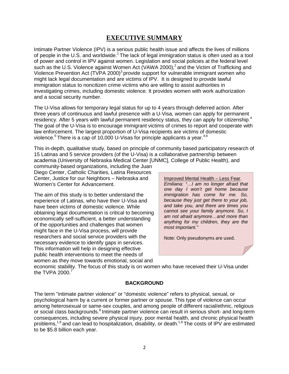#### **EXECUTIVE SUMMARY**

Intimate Partner Violence (IPV) is a serious public health issue and affects the lives of millions of people in the U.S. and worldwide.<sup>1</sup> The lack of legal immigration status is often used as a tool of power and control in IPV against women. Legislation and social policies at the federal level such as the U.S. Violence against Women Act (VAWA 2000),<sup>2</sup> and the Victim of Trafficking and Violence Prevention Act (TVPA 2000)<sup>3</sup> provide support for vulnerable immigrant women who might lack legal documentation and are victims of IPV. It is designed to provide lawful immigration status to noncitizen crime victims who are willing to assist authorities in investigating crimes, including domestic violence. It provides women with work authorization and a social security number.

The U-Visa allows for temporary legal status for up to 4 years through deferred action. After three years of continuous and lawful presence with a U-Visa, women can apply for permanent residency. After 5 years with lawful permanent residency status, they can apply for citizenship.<sup>4</sup> The goal of the U-Visa is to encourage immigrant victims of crimes to report and cooperate with law enforcement. The largest proportion of U-Visa recipients are victims of domestic violence.<sup>5</sup> There is a cap of 10,000 U-Visas for principle applicants a year.<sup>4,6</sup>

This in-depth, qualitative study, based on principle of community based participatory research of 15 Latinas and 5 service providers (of the U-Visa) is a collaborative partnership between academia (University of Nebraska Medical Center [UNMC], College of Public Health), and

community-based organizations, including the Juan Diego Center, Catholic Charities, Latina Resources Center, Justice for our Neighbors – Nebraska and Women's Center for Advancement.

The aim of this study is to better understand the experience of Latinas, who have their U-Visa and have been victims of domestic violence. While obtaining legal documentation is critical to becoming economically self-sufficient, a better understanding of the opportunities and challenges that women might face in the U-Visa process, will provide researchers and social service providers with the necessary evidence to identify gaps in services. This information will help in designing effective public health interventions to meet the needs of women as they move towards emotional, social and

Improved Mental Health – Less Fear. *Emiliana: "…I am no longer afraid that one day I won't get home because immigration has come for me. So, because they just get there to your job, and take you, and there are times you cannot see your family anymore. So, I am not afraid anymore…and more than anything for my children, they are the most important."*

Note: Only pseudonyms are used.

economic stability. The focus of this study is on women who have received their U-Visa under the TVPA 2000.<sup>7</sup>

#### **BACKGROUND**

The term "intimate partner violence" or "domestic violence" refers to physical, sexual, or psychological harm by a current or former partner or spouse. This type of violence can occur among heterosexual or same-sex couples, and among people of different racial/ethnic, religious or social class backgrounds.<sup>8</sup> Intimate partner violence can result in serious short- and long-term consequences, including severe physical injury, poor mental health, and chronic physical health problems,<sup>1,9</sup> and can lead to hospitalization, disability, or death.<sup>1,9</sup> The costs of IPV are estimated to be \$5.8 billion each year.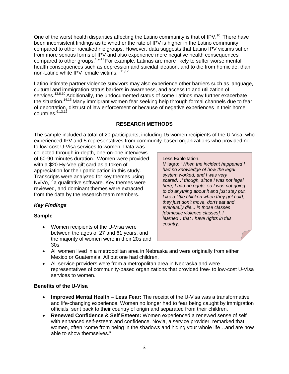One of the worst health disparities affecting the Latino community is that of IPV.<sup>10</sup> There have been inconsistent findings as to whether the rate of IPV is higher in the Latino community compared to other racial/ethnic groups. However, data suggests that Latino IPV victims suffer from more serious forms of IPV and also experience more negative health consequences compared to other groups.<sup>1,9-11</sup> For example, Latinas are more likely to suffer worse mental health consequences such as depression and suicidal ideation, and to die from homicide, than non-Latino white IPV female victims.<sup>9,11,12</sup>

Latino intimate partner violence survivors may also experience other barriers such as language, cultural and immigration status barriers in awareness, and access to and utilization of services.<sup>13,6,10</sup> Additionally, the undocumented status of some Latinos may further exacerbate the situation.<sup>14,15</sup> Many immigrant women fear seeking help through formal channels due to fear of deportation, distrust of law enforcement or because of negative experiences in their home countries. $6,13,16$ 

#### **RESEARCH METHODS**

The sample included a total of 20 participants, including 15 women recipients of the U-Visa, who experienced IPV and 5 representatives from community-based organizations who provided no-

to low-cost U-Visa services to women. Data was collected through in-depth, one-on-one interviews of 60-90 minutes duration. Women were provided with a \$20 Hy-Vee gift card as a token of appreciation for their participation in this study. Transcripts were analyzed for key themes using NviVo, $17$  a qualitative software. Key themes were reviewed, and dominant themes were extracted from the data by the research team members.

*Key Findings*

#### **Sample**

• Women recipients of the U-Visa were between the ages of 27 and 61 years, and the majority of women were in their 20s and 30s.

• All women lived in a metropolitan area in Nebraska and were originally from either Mexico or Guatemala. All but one had children.

• All service providers were from a metropolitan area in Nebraska and were representatives of community-based organizations that provided free- to low-cost U-Visa services to women.

#### **Benefits of the U-Visa**

- **Improved Mental Health – Less Fear:** The receipt of the U-Visa was a transformative and life-changing experience. Women no longer had to fear being caught by immigration officials, sent back to their country of origin and separated from their children.
- **Renewed Confidence & Self Esteem:** Women experienced a renewed sense of self with enhanced self-esteem and confidence. Novia, a service provider, remarked that women, often "come from being in the shadows and hiding your whole life…and are now able to show themselves."

#### Less Exploitation.

Milagro: "*When the incident happened I had no knowledge of how the legal system worked, and I was very scared…I though, since I was not legal here, I had no rights, so I was not going to do anything about it and just stay put. Like a little chicken when they get cold, they just don't move, don't eat and eventually die... in those classes [domestic violence classes]. I learned…that I have rights in this country."*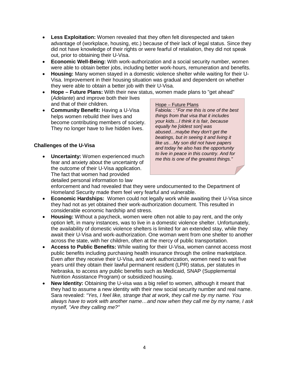- **Less Exploitation:** Women revealed that they often felt disrespected and taken advantage of (workplace, housing, etc.) because of their lack of legal status. Since they did not have knowledge of their rights or were fearful of retaliation, they did not speak out, prior to obtaining their U-Visa.
- **Economic Well-Being:** With work-authorization and a social security number, women were able to obtain better jobs, including better work-hours, remuneration and benefits.
- **Housing:** Many women stayed in a domestic violence shelter while waiting for their U-Visa. Improvement in their housing situation was gradual and dependent on whether they were able to obtain a better job with their U-Visa.
- **Hope – Future Plans:** With their new status, women made plans to "get ahead" (*Adelante*) and improve both their lives and that of their children.
- **Community Benefit:** Having a U-Visa helps women rebuild their lives and become contributing members of society. They no longer have to live hidden lives.

#### **Challenges of the U-Visa**

• **Uncertainty:** Women experienced much fear and anxiety about the uncertainty of the outcome of their U-Visa application. The fact that women had provided detailed personal information to law

#### Hope – Future Plans

Fabiola: : "*For me this is one of the best things from that visa that it includes your kids…I think it is fair, because equally he [oldest son] was abused…maybe they don't get the beatings, but in seeing it and living it like us…My son did not have papers and today he also has the opportunity to live in peace in this country. And for me this is one of the greatest things."*

enforcement and had revealed that they were undocumented to the Department of Homeland Security made them feel very fearful and vulnerable.

- **Economic Hardships:** Women could not legally work while awaiting their U-Visa since they had not as yet obtained their work-authorization document. This resulted in considerable economic hardship and stress.
- **Housing:** Without a paycheck, women were often not able to pay rent, and the only option left, in many instances, was to live in a domestic violence shelter. Unfortunately, the availability of domestic violence shelters is limited for an extended stay, while they await their U-Visa and work-authorization. One woman went from one shelter to another across the state, with her children, often at the mercy of public transportation.
- **Access to Public Benefits:** While waiting for their U-Visa, women cannot access most public benefits including purchasing health insurance through the online marketplace. Even after they receive their U-Visa, and work authorization, women need to wait five years until they obtain their lawful permanent resident (LPR) status, per statutes in Nebraska, to access any public benefits such as Medicaid, SNAP (Supplemental Nutrition Assistance Program) or subsidized housing.
- **New Identity:** Obtaining the U-visa was a big relief to women, although it meant that they had to assume a new identity with their new social security number and real name. Sara revealed: *"Yes, I feel like, strange that at work, they call me by my name. You always have to work with another name…and now when they call me by my name, I ask myself, "Are they calling me?"*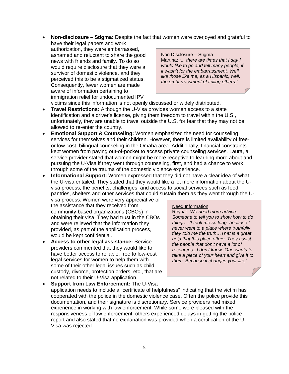• **Non-disclosure – Stigma:** Despite the fact that women were overjoyed and grateful to have their legal papers and work

authorization, they were embarrassed, ashamed and reluctant to share the good news with friends and family. To do so would require disclosure that they were a survivor of domestic violence, and they perceived this to be a stigmatized status. Consequently, fewer women are made aware of information pertaining to immigration relief for undocumented IPV

Non Disclosure – Stigma Martina: *"... there are times that I say I would like to go and tell many people, if it wasn't for the embarrassment. Well, like those like me, as a Hispanic, well, the embarrassment of telling others."*

victims since this information is not openly discussed or widely distributed.

- **Travel Restrictions:** Although the U-Visa provides women access to a state identification and a driver's license, giving them freedom to travel within the U.S., unfortunately, they are unable to travel outside the U.S. for fear that they may not be allowed to re-enter the country.
- **Emotional Support & Counseling:** Women emphasized the need for counseling services for themselves and their children. However, there is limited availability of freeor low-cost, bilingual counseling in the Omaha area. Additionally, financial constraints kept women from paying out-of-pocket to access private counseling services. Laura, a service provider stated that women might be more receptive to learning more about and pursuing the U-Visa if they went through counseling, first, and had a chance to work through some of the trauma of the domestic violence experience.
- **Informational Support:** Women expressed that they did not have a clear idea of what the U-visa entailed. They stated that they would like a lot more information about the Uvisa process, the benefits, challenges, and access to social services such as food pantries, shelters and other services that could sustain them as they went through the U-

visa process. Women were very appreciative of the assistance that they received from community-based organizations (CBOs) in obtaining their visa. They had trust in the CBOs and were relieved that the information they provided, as part of the application process, would be kept confidential.

• **Access to other legal assistance:** Service providers commented that they would like to have better access to reliable, free to low-cost legal services for women to help them with some of their other legal issues such as child custody, divorce, protection orders, etc., that are not related to their U-Visa application.

#### Need Information

Reyna: *"We need more advice. Someone to tell you to show how to do things…It took me so long, because I never went to a place where truthfully they told me the truth…That is a great help that this place offers. They assist the people that don't have a lot of resources...I don't know. One wants to take a piece of your heart and give it to them. Because it changes your life."*

• **Support from Law Enforcement:** The U-Visa application needs to include a "certificate of helpfulness" indicating that the victim has cooperated with the police in the domestic violence case. Often the police provide this documentation, and their signature is discretionary. Service providers had mixed experience in working with law enforcement. While some were pleased with the responsiveness of law enforcement, others experienced delays in getting the police report and also stated that no explanation was provided when a certification of the U-Visa was rejected.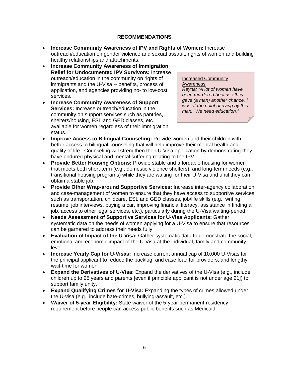#### **RECOMMENDATIONS**

- **Increase Community Awareness of IPV and Rights of Women:** Increase outreach/education on gender violence and sexual assault, rights of women and building healthy relationships and attachments.
- **Increase Community Awareness of Immigration Relief for Undocumented IPV Survivors:** Increase outreach/education in the community on rights of immigrants and the U-Visa -- benefits, process of application, and agencies providing no- to low-cost services.
- **Increase Community Awareness of Support Services:** Increase outreach/education in the community on support services such as pantries, shelters/housing, ESL and GED classes, etc., available for women regardless of their immigration status.

Increased Community Awareness *Reyna: "A lot of women have been murdered because they gave (a man) another chance. I was at the point of dying by this man. We need education."*

- **Improve Access to Bilingual Counseling:** Provide women and their children with better access to bilingual counseling that will help improve their mental health and quality of life. Counseling will strengthen their U-Visa application by demonstrating they have endured physical and mental suffering relating to the IPV.
- **Provide Better Housing Options:** Provide stable and affordable housing for women that meets both short-term (e.g., domestic violence shelters), and long-term needs (e.g., transitional housing programs) while they are waiting for their U-Visa and until they can obtain a stable job.
- **Provide Other Wrap-around Supportive Services:** Increase inter-agency collaboration and case-management of women to ensure that they have access to supportive services such as transportation, childcare, ESL and GED classes, job/life skills (e.g., writing resume, job interviews, buying a car, improving financial literacy, assistance in finding a job, access to other legal services, etc.), particularly during the U-Visa waiting-period.
- **Needs Assessment of Supportive Services for U-Visa Applicants:** Gather systematic data on the needs of women applying for a U-Visa to ensure that resources can be garnered to address their needs fully.
- **Evaluation of Impact of the U-Visa:** Gather systematic data to demonstrate the social, emotional and economic impact of the U-Visa at the individual, family and community level.
- **Increase Yearly Cap for U-Visas:** Increase current annual cap of 10,000 U-Visas for the principal applicant to reduce the backlog, and case load for providers, and lengthy wait-time for women.
- **Expand the Derivatives of U-Visa:** Expand the derivatives of the U-Visa (e.g., include children up to 25 years and parents [even if principle applicant is not under age 21]) to support family unity.
- **Expand Qualifying Crimes for U-Visa:** Expanding the types of crimes allowed under the U-visa (e.g., include hate-crimes, bullying-assault, etc.).
- **Waiver of 5-year Eligibility:** State waiver of the 5-year permanent-residency requirement before people can access public benefits such as Medicaid.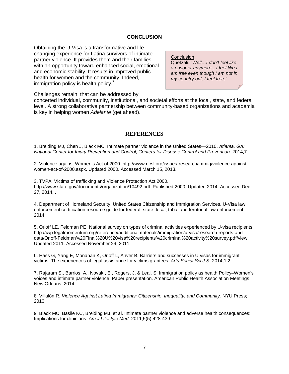#### **CONCLUSION**

Obtaining the U-Visa is a transformative and life changing experience for Latina survivors of intimate partner violence. It provides them and their families with an opportunity toward enhanced social, emotional and economic stability. It results in improved public health for women and the community. Indeed, immigration policy is health policy. $<sup>7</sup>$ </sup>

**Conclusion** Quetzali: "*Well…I don't feel like a prisoner anymore…I feel like I am free even though I am not in my country but, I feel free."*

Challenges remain, that can be addressed by

concerted individual, community, institutional, and societal efforts at the local, state, and federal level. A strong collaborative partnership between community-based organizations and academia is key in helping women *Adelante* (get ahead).

#### **REFERENCES**

1. Breiding MJ, Chen J, Black MC. Intimate partner violence in the United States—2010. *Atlanta, GA: National Center for Injury Prevention and Control, Centers for Disease Control and Prevention*. 2014;7.

2. Violence against Women's Act of 2000. http://www.ncsl.org/issues-research/immig/violence-againstwomen-act-of-2000.aspx. Updated 2000. Accessed March 15, 2013.

3. TVPA. Victims of trafficking and Violence Protection Act 2000. http://www.state.gov/documents/organization/10492.pdf. Published 2000. Updated 2014. Accessed Dec 27, 2014, .

4. Department of Homeland Security, United States Citizenship and Immigration Services. U-Visa law enforcement certification resource guide for federal, state, local, tribal and territorial law enforcement. . 2014.

5. Orloff LE, Feldman PE. National survey on types of criminal activities experienced by U-visa recipients. http://iwp.legalmomentum.org/reference/additionalmaterials/immigration/u-visa/research-reports-anddata/Orloff-Feldman%20Final%20U%20visa%20recipients%20criminal%20activity%20survey.pdf/view. Updated 2011. Accessed November 29, 2011.

6. Hass G, Yang E, Monahan K, Orloff L, Anver B. Barriers and successes in U visas for immigrant victims: The experiences of legal assistance for victims grantees. *Arts Social Sci J S*. 2014;1:2.

7. Rajaram S., Barrios, A., Novak., E., Rogers, J. & Leal, S. Immigration policy as health Policy–Women's voices and intimate partner violence. Paper presentation. American Public Health Association Meetings. New Orleans. 2014.

8. Villalón R. *Violence Against Latina Immigrants: Citizenship, Inequality, and Community.* NYU Press; 2010.

9. Black MC, Basile KC, Breiding MJ, et al. Intimate partner violence and adverse health consequences: Implications for clinicians. *Am J Lifestyle Med*. 2011;5(5):428-439.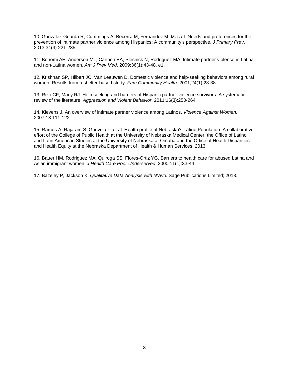10. Gonzalez-Guarda R, Cummings A, Becerra M, Fernandez M, Mesa I. Needs and preferences for the prevention of intimate partner violence among Hispanics: A community's perspective. *J Primary Prev*. 2013;34(4):221-235.

11. Bonomi AE, Anderson ML, Cannon EA, Slesnick N, Rodriguez MA. Intimate partner violence in Latina and non-Latina women. *Am J Prev Med*. 2009;36(1):43-48. e1.

12. Krishnan SP, Hilbert JC, Van Leeuwen D. Domestic violence and help‐seeking behaviors among rural women: Results from a shelter‐based study. *Fam Community Health*. 2001;24(1):28-38.

13. Rizo CF, Macy RJ. Help seeking and barriers of Hispanic partner violence survivors: A systematic review of the literature. *Aggression and Violent Behavior*. 2011;16(3):250-264.

14. Klevens J. An overview of intimate partner violence among Latinos. *Violence Against Women*. 2007;13:111-122.

15. Ramos A, Rajaram S, Gouveia L, et al. Health profile of Nebraska's Latino Population. A collaborative effort of the College of Public Health at the University of Nebraska Medical Center, the Office of Latino and Latin American Studies at the University of Nebraska at Omaha and the Office of Health Disparities and Health Equity at the Nebraska Department of Health & Human Services. 2013.

16. Bauer HM, Rodriguez MA, Quiroga SS, Flores-Ortiz YG. Barriers to health care for abused Latina and Asian immigrant women. *J Health Care Poor Underserved*. 2000;11(1):33-44.

17. Bazeley P, Jackson K. *Qualitative Data Analysis with NVivo.* Sage Publications Limited; 2013.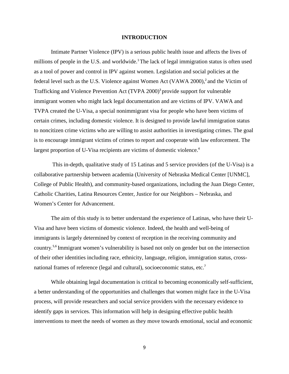#### **INTRODUCTION**

Intimate Partner Violence (IPV) is a serious public health issue and affects the lives of millions of people in the U.S. and worldwide.<sup>1</sup> The lack of legal immigration status is often used as a tool of power and control in IPV against women. Legislation and social policies at the federal level such as the U.S. Violence against Women Act (VAWA 2000), <sup>2</sup>and the Victim of Trafficking and Violence Prevention Act (TVPA 2000) <sup>3</sup>provide support for vulnerable immigrant women who might lack legal documentation and are victims of IPV. VAWA and TVPA created the U-Visa, a special nonimmigrant visa for people who have been victims of certain crimes, including domestic violence. It is designed to provide lawful immigration status to noncitizen crime victims who are willing to assist authorities in investigating crimes. The goal is to encourage immigrant victims of crimes to report and cooperate with law enforcement. The largest proportion of U-Visa recipients are victims of domestic violence.<sup>4</sup>

This in-depth, qualitative study of 15 Latinas and 5 service providers (of the U-Visa) is a collaborative partnership between academia (University of Nebraska Medical Center [UNMC], College of Public Health), and community-based organizations, including the Juan Diego Center, Catholic Charities, Latina Resources Center, Justice for our Neighbors – Nebraska, and Women's Center for Advancement.

The aim of this study is to better understand the experience of Latinas, who have their U-Visa and have been victims of domestic violence. Indeed, the health and well-being of immigrants is largely determined by context of reception in the receiving community and country. 5,6 Immigrant women's vulnerability is based not only on gender but on the intersection of their other identities including race, ethnicity, language, religion, immigration status, crossnational frames of reference (legal and cultural), socioeconomic status, etc.<sup>7</sup>

While obtaining legal documentation is critical to becoming economically self-sufficient, a better understanding of the opportunities and challenges that women might face in the U-Visa process, will provide researchers and social service providers with the necessary evidence to identify gaps in services. This information will help in designing effective public health interventions to meet the needs of women as they move towards emotional, social and economic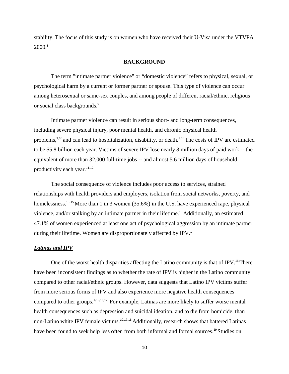stability. The focus of this study is on women who have received their U-Visa under the VTVPA  $2000$ <sup>8</sup>

#### **BACKGROUND**

The term "intimate partner violence" or "domestic violence" refers to physical, sexual, or psychological harm by a current or former partner or spouse. This type of violence can occur among heterosexual or same-sex couples, and among people of different racial/ethnic, religious or social class backgrounds. 9

Intimate partner violence can result in serious short- and long-term consequences, including severe physical injury, poor mental health, and chronic physical health problems,<sup>1,10</sup> and can lead to hospitalization, disability, or death.<sup>1,10</sup> The costs of IPV are estimated to be \$5.8 billion each year. Victims of severe IPV lose nearly 8 million days of paid work -- the equivalent of more than 32,000 full-time jobs -- and almost 5.6 million days of household productivity each year.<sup>11,12</sup>

The social consequence of violence includes poor access to services, strained relationships with health providers and employers, isolation from social networks, poverty, and homelessness.<sup>13-15</sup> More than 1 in 3 women (35.6%) in the U.S. have experienced rape, physical violence, and/or stalking by an intimate partner in their lifetime.<sup>10</sup> Additionally, an estimated 47.1% of women experienced at least one act of psychological aggression by an intimate partner during their lifetime. Women are disproportionately affected by IPV.<sup>1</sup>

#### *Latinas and IPV*

One of the worst health disparities affecting the Latino community is that of IPV.<sup>16</sup>There have been inconsistent findings as to whether the rate of IPV is higher in the Latino community compared to other racial/ethnic groups. However, data suggests that Latino IPV victims suffer from more serious forms of IPV and also experience more negative health consequences compared to other groups.1,10,16,17 For example, Latinas are more likely to suffer worse mental health consequences such as depression and suicidal ideation, and to die from homicide, than non-Latino white IPV female victims.<sup>10,17,18</sup> Additionally, research shows that battered Latinas have been found to seek help less often from both informal and formal sources.<sup>19</sup> Studies on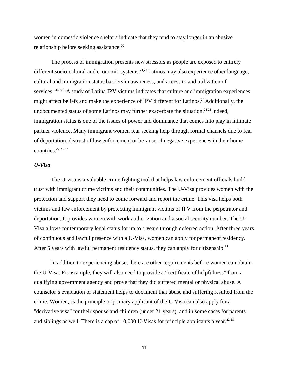women in domestic violence shelters indicate that they tend to stay longer in an abusive relationship before seeking assistance.<sup>20</sup>

The process of immigration presents new stressors as people are exposed to entirely different socio-cultural and economic systems.<sup>21,22</sup> Latinos may also experience other language, cultural and immigration status barriers in awareness, and access to and utilization of services.<sup>23,22,16</sup> A study of Latina IPV victims indicates that culture and immigration experiences might affect beliefs and make the experience of IPV different for Latinos.<sup>24</sup> Additionally, the undocumented status of some Latinos may further exacerbate the situation.<sup>25 26</sup> Indeed, immigration status is one of the issues of power and dominance that comes into play in intimate partner violence. Many immigrant women fear seeking help through formal channels due to fear of deportation, distrust of law enforcement or because of negative experiences in their home countries.<sup>22,23,27</sup>

#### *U-Visa*

The U-visa is a valuable crime fighting tool that helps law enforcement officials build trust with immigrant crime victims and their communities. The U-Visa provides women with the protection and support they need to come forward and report the crime. This visa helps both victims and law enforcement by protecting immigrant victims of IPV from the perpetrator and deportation. It provides women with work authorization and a social security number. The U-Visa allows for temporary legal status for up to 4 years through deferred action. After three years of continuous and lawful presence with a U-Visa, women can apply for permanent residency. After 5 years with lawful permanent residency status, they can apply for citizenship.<sup>28</sup>

In addition to experiencing abuse, there are other requirements before women can obtain the U-Visa. For example, they will also need to provide a "certificate of helpfulness" from a qualifying government agency and prove that they did suffered mental or physical abuse. A counselor's evaluation or statement helps to document that abuse and suffering resulted from the crime. Women, as the principle or primary applicant of the U-Visa can also apply for a "derivative visa" for their spouse and children (under 21 years), and in some cases for parents and siblings as well. There is a cap of  $10,000$  U-Visas for principle applicants a year.<sup>22,28</sup>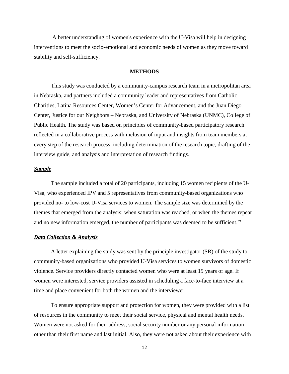A better understanding of women's experience with the U-Visa will help in designing interventions to meet the socio-emotional and economic needs of women as they move toward stability and self-sufficiency.

#### **METHODS**

This study was conducted by a community-campus research team in a metropolitan area in Nebraska, and partners included a community leader and representatives from Catholic Charities, Latina Resources Center, Women's Center for Advancement, and the Juan Diego Center, Justice for our Neighbors – Nebraska, and University of Nebraska (UNMC), College of Public Health. The study was based on principles of community-based participatory research reflected in a collaborative process with inclusion of input and insights from team members at every step of the research process, including determination of the research topic, drafting of the interview guide, and analysis and interpretation of research finding*s.* 

#### *Sample*

The sample included a total of 20 participants, including 15 women recipients of the U-Visa, who experienced IPV and 5 representatives from community-based organizations who provided no- to low-cost U-Visa services to women. The sample size was determined by the themes that emerged from the analysis; when saturation was reached, or when the themes repeat and no new information emerged, the number of participants was deemed to be sufficient.<sup>29</sup>

#### *Data Collection & Analysis*

A letter explaining the study was sent by the principle investigator (SR) of the study to community-based organizations who provided U-Visa services to women survivors of domestic violence. Service providers directly contacted women who were at least 19 years of age. If women were interested, service providers assisted in scheduling a face-to-face interview at a time and place convenient for both the women and the interviewer.

To ensure appropriate support and protection for women, they were provided with a list of resources in the community to meet their social service, physical and mental health needs. Women were not asked for their address, social security number or any personal information other than their first name and last initial. Also, they were not asked about their experience with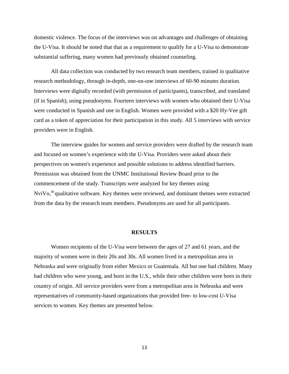domestic violence. The focus of the interviews was on advantages and challenges of obtaining the U-Visa. It should be noted that that as a requirement to qualify for a U-Visa to demonstrate substantial suffering, many women had previously obtained counseling.

All data collection was conducted by two research team members, trained in qualitative research methodology, through in-depth, one-on-one interviews of 60-90 minutes duration. Interviews were digitally recorded (with permission of participants), transcribed, and translated (if in Spanish), using pseudonyms. Fourteen interviews with women who obtained their U-Visa were conducted in Spanish and one in English. Women were provided with a \$20 Hy-Vee gift card as a token of appreciation for their participation in this study. All 5 interviews with service providers were in English.

The interview guides for women and service providers were drafted by the research team and focused on women's experience with the U-Visa. Providers were asked about their perspectives on women's experience and possible solutions to address identified barriers. Permission was obtained from the UNMC Institutional Review Board prior to the commencement of the study. Transcripts were analyzed for key themes using  $NviVo<sub>30</sub>$  qualitative software. Key themes were reviewed, and dominant themes were extracted from the data by the research team members. Pseudonyms are used for all participants.

#### **RESULTS**

Women recipients of the U-Visa were between the ages of 27 and 61 years, and the majority of women were in their 20s and 30s. All women lived in a metropolitan area in Nebraska and were originally from either Mexico or Guatemala. All but one had children. Many had children who were young, and born in the U.S., while their other children were born in their country of origin. All service providers were from a metropolitan area in Nebraska and were representatives of community-based organizations that provided free- to low-cost U-Visa services to women. Key themes are presented below.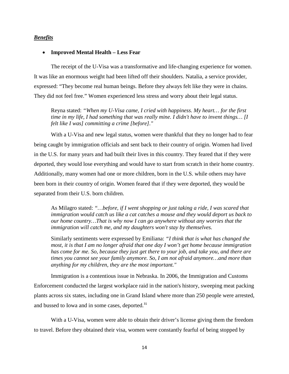#### *Benefits*

#### • **Improved Mental Health – Less Fear**

The receipt of the U-Visa was a transformative and life-changing experience for women. It was like an enormous weight had been lifted off their shoulders. Natalia, a service provider, expressed: "They become real human beings. Before they always felt like they were in chains. They did not feel free." Women experienced less stress and worry about their legal status.

Reyna stated: *"When my U-Visa came, I cried with happiness. My heart… for the first time in my life, I had something that was really mine. I didn't have to invent things… [I felt like I was] committing a crime [before]."*

With a U-Visa and new legal status, women were thankful that they no longer had to fear being caught by immigration officials and sent back to their country of origin. Women had lived in the U.S. for many years and had built their lives in this country. They feared that if they were deported, they would lose everything and would have to start from scratch in their home country. Additionally, many women had one or more children, born in the U.S. while others may have been born in their country of origin. Women feared that if they were deported, they would be separated from their U.S. born children.

As Milagro stated: *"…before, if I went shopping or just taking a ride, I was scared that immigration would catch us like a cat catches a mouse and they would deport us back to our home country…That is why now I can go anywhere without any worries that the immigration will catch me, and my daughters won't stay by themselves.*

Similarly sentiments were expressed by Emiliana: *"I think that is what has changed the most, it is that I am no longer afraid that one day I won't get home because immigration has come for me. So, because they just get there to your job, and take you, and there are times you cannot see your family anymore. So, I am not afraid anymore…and more than anything for my children, they are the most important."*

Immigration is a contentious issue in Nebraska. In 2006, the Immigration and Customs Enforcement conducted the largest workplace raid in the nation's history, sweeping meat packing plants across six states, including one in Grand Island where more than 250 people were arrested, and bussed to Iowa and in some cases, deported.<sup>31</sup>

With a U-Visa, women were able to obtain their driver's license giving them the freedom to travel. Before they obtained their visa, women were constantly fearful of being stopped by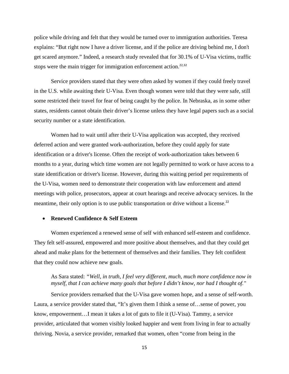police while driving and felt that they would be turned over to immigration authorities. Teresa explains: "But right now I have a driver license, and if the police are driving behind me, I don't get scared anymore." Indeed, a research study revealed that for 30.1% of U-Visa victims, traffic stops were the main trigger for immigration enforcement action.<sup>22,32</sup>

Service providers stated that they were often asked by women if they could freely travel in the U.S. while awaiting their U-Visa. Even though women were told that they were safe, still some restricted their travel for fear of being caught by the police. In Nebraska, as in some other states, residents cannot obtain their driver's license unless they have legal papers such as a social security number or a state identification.

Women had to wait until after their U-Visa application was accepted, they received deferred action and were granted work-authorization, before they could apply for state identification or a driver's license. Often the receipt of work-authorization takes between 6 months to a year, during which time women are not legally permitted to work or have access to a state identification or driver's license. However, during this waiting period per requirements of the U-Visa, women need to demonstrate their cooperation with law enforcement and attend meetings with police, prosecutors, appear at court hearings and receive advocacy services. In the meantime, their only option is to use public transportation or drive without a license.<sup>22</sup>

#### • **Renewed Confidence & Self Esteem**

Women experienced a renewed sense of self with enhanced self-esteem and confidence. They felt self-assured, empowered and more positive about themselves, and that they could get ahead and make plans for the betterment of themselves and their families. They felt confident that they could now achieve new goals.

#### As Sara stated: *"Well, in truth, I feel very different, much, much more confidence now in myself, that I can achieve many goals that before I didn't know, nor had I thought of."*

Service providers remarked that the U-Visa gave women hope, and a sense of self-worth. Laura, a service provider stated that, "It's given them I think a sense of…sense of power, you know, empowerment…I mean it takes a lot of guts to file it (U-Visa). Tammy, a service provider, articulated that women visibly looked happier and went from living in fear to actually thriving. Novia, a service provider, remarked that women, often "come from being in the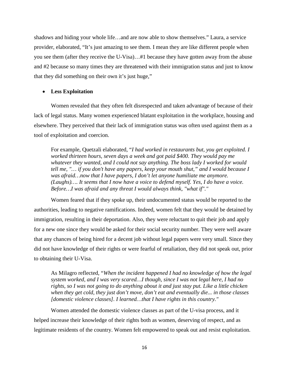shadows and hiding your whole life…and are now able to show themselves." Laura, a service provider, elaborated, "It's just amazing to see them. I mean they are like different people when you see them (after they receive the U-Visa)…#1 because they have gotten away from the abuse and #2 because so many times they are threatened with their immigration status and just to know that they did something on their own it's just huge,"

#### • **Less Exploitation**

Women revealed that they often felt disrespected and taken advantage of because of their lack of legal status. Many women experienced blatant exploitation in the workplace, housing and elsewhere. They perceived that their lack of immigration status was often used against them as a tool of exploitation and coercion.

For example, Quetzali elaborated, "*I had worked in restaurants but, you get exploited. I worked thirteen hours, seven days a week and got paid \$400. They would pay me whatever they wanted, and I could not say anything. The boss lady I worked for would tell me, "… if you don't have any papers, keep your mouth shut," and I would because I was afraid…now that I have papers, I don't let anyone humiliate me anymore. (Laughs)…. It seems that I now have a voice to defend myself. Yes, I do have a voice. Before…I was afraid and any threat I would always think, "what if"."*

Women feared that if they spoke up, their undocumented status would be reported to the authorities, leading to negative ramifications. Indeed, women felt that they would be detained by immigration, resulting in their deportation. Also, they were reluctant to quit their job and apply for a new one since they would be asked for their social security number. They were well aware that any chances of being hired for a decent job without legal papers were very small. Since they did not have knowledge of their rights or were fearful of retaliation, they did not speak out, prior to obtaining their U-Visa.

As Milagro reflected, "*When the incident happened I had no knowledge of how the legal system worked, and I was very scared…I though, since I was not legal here, I had no rights, so I was not going to do anything about it and just stay put. Like a little chicken when they get cold, they just don't move, don't eat and eventually die... in those classes [domestic violence classes]. I learned…that I have rights in this country."* 

Women attended the domestic violence classes as part of the U-visa process, and it helped increase their knowledge of their rights both as women, deserving of respect, and as legitimate residents of the country. Women felt empowered to speak out and resist exploitation.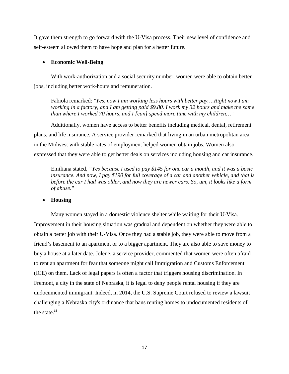It gave them strength to go forward with the U-Visa process. Their new level of confidence and self-esteem allowed them to have hope and plan for a better future.

#### • **Economic Well-Being**

With work-authorization and a social security number, women were able to obtain better jobs, including better work-hours and remuneration.

Fabiola remarked: *"Yes, now I am working less hours with better pay….Right now I am working in a factory, and I am getting paid \$9.80. I work my 32 hours and make the same than where I worked 70 hours, and I [can] spend more time with my children…"*

Additionally, women have access to better benefits including medical, dental, retirement plans, and life insurance. A service provider remarked that living in an urban metropolitan area in the Midwest with stable rates of employment helped women obtain jobs. Women also expressed that they were able to get better deals on services including housing and car insurance.

Emiliana stated, *"Yes because I used to pay \$145 for one car a month, and it was a basic insurance. And now, I pay \$190 for full coverage of a car and another vehicle, and that is before the car I had was older, and now they are newer cars. So, um, it looks like a form of abuse."*

• **Housing**

Many women stayed in a domestic violence shelter while waiting for their U-Visa. Improvement in their housing situation was gradual and dependent on whether they were able to obtain a better job with their U-Visa. Once they had a stable job, they were able to move from a friend's basement to an apartment or to a bigger apartment. They are also able to save money to buy a house at a later date. Jolene, a service provider, commented that women were often afraid to rent an apartment for fear that someone might call Immigration and Customs Enforcement (ICE) on them. Lack of legal papers is often a factor that triggers housing discrimination. In Fremont, a city in the state of Nebraska, it is legal to deny people rental housing if they are undocumented immigrant. Indeed, in 2014, the U.S. Supreme Court refused to review a lawsuit challenging a Nebraska city's ordinance that bans renting homes to undocumented residents of the state. $33$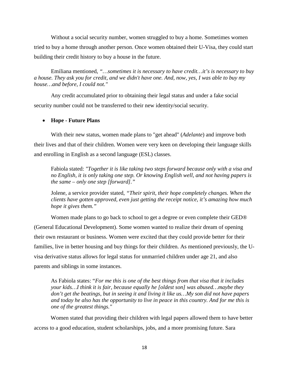Without a social security number, women struggled to buy a home. Sometimes women tried to buy a home through another person. Once women obtained their U-Visa, they could start building their credit history to buy a house in the future.

Emiliana mentioned, *"…sometimes it is necessary to have credit…it's is necessary to buy a house. They ask you for credit, and we didn't have one. And, now, yes, I was able to buy my house…and before, I could not."*

Any credit accumulated prior to obtaining their legal status and under a fake social security number could not be transferred to their new identity/social security.

#### • **Hope - Future Plans**

With their new status, women made plans to "get ahead" (*Adelante*) and improve both their lives and that of their children. Women were very keen on developing their language skills and enrolling in English as a second language (ESL) classes.

Fabiola stated: *"Together it is like taking two steps forward because only with a visa and no English, it is only taking one step. Or knowing English well, and not having papers is the same – only one step [forward]."*

Jolene, a service provider stated, *"Their spirit, their hope completely changes. When the clients have gotten approved, even just getting the receipt notice, it's amazing how much hope it gives them."* 

Women made plans to go back to school to get a degree or even complete their GED® (General Educational Development). Some women wanted to realize their dream of opening their own restaurant or business. Women were excited that they could provide better for their families, live in better housing and buy things for their children. As mentioned previously, the Uvisa derivative status allows for legal status for unmarried children under age 21, and also parents and siblings in some instances.

As Fabiola states: "*For me this is one of the best things from that visa that it includes your kids…I think it is fair, because equally he [oldest son] was abused…maybe they don't get the beatings, but in seeing it and living it like us…My son did not have papers and today he also has the opportunity to live in peace in this country. And for me this is one of the greatest things."*

Women stated that providing their children with legal papers allowed them to have better access to a good education, student scholarships, jobs, and a more promising future. Sara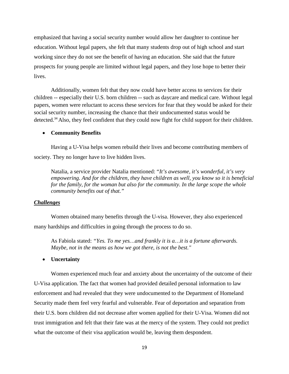emphasized that having a social security number would allow her daughter to continue her education. Without legal papers, she felt that many students drop out of high school and start working since they do not see the benefit of having an education. She said that the future prospects for young people are limited without legal papers, and they lose hope to better their lives.

Additionally, women felt that they now could have better access to services for their children -- especially their U.S. born children -- such as daycare and medical care. Without legal papers, women were reluctant to access these services for fear that they would be asked for their social security number, increasing the chance that their undocumented status would be detected.<sup>34</sup> Also, they feel confident that they could now fight for child support for their children.

#### • **Community Benefits**

Having a U-Visa helps women rebuild their lives and become contributing members of society. They no longer have to live hidden lives.

Natalia, a service provider Natalia mentioned: "*It's awesome, it's wonderful, it's very empowering. And for the children, they have children as well, you know so it is beneficial*  for the family, for the woman but also for the community. In the large scope the whole *community benefits out of that."*

#### *Challenges*

Women obtained many benefits through the U-visa. However, they also experienced many hardships and difficulties in going through the process to do so.

As Fabiola stated: *"Yes. To me yes…and frankly it is a…it is a fortune afterwards. Maybe, not in the means as how we got there, is not the best."* 

#### • **Uncertainty**

Women experienced much fear and anxiety about the uncertainty of the outcome of their U-Visa application. The fact that women had provided detailed personal information to law enforcement and had revealed that they were undocumented to the Department of Homeland Security made them feel very fearful and vulnerable. Fear of deportation and separation from their U.S. born children did not decrease after women applied for their U-Visa. Women did not trust immigration and felt that their fate was at the mercy of the system. They could not predict what the outcome of their visa application would be, leaving them despondent.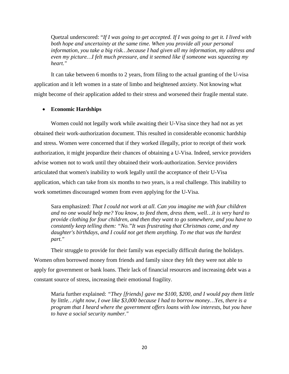Quetzal underscored: "*If I was going to get accepted. If I was going to get it. I lived with*  both hope and uncertainty at the same time. When you provide all your personal *information, you take a big risk…because I had given all my information, my address and even my picture…I felt much pressure, and it seemed like if someone was squeezing my heart."*

It can take between 6 months to 2 years, from filing to the actual granting of the U-visa application and it left women in a state of limbo and heightened anxiety. Not knowing what might become of their application added to their stress and worsened their fragile mental state.

#### • **Economic Hardships**

Women could not legally work while awaiting their U-Visa since they had not as yet obtained their work-authorization document. This resulted in considerable economic hardship and stress. Women were concerned that if they worked illegally, prior to receipt of their work authorization, it might jeopardize their chances of obtaining a U-Visa. Indeed, service providers advise women not to work until they obtained their work-authorization. Service providers articulated that women's inability to work legally until the acceptance of their U-Visa application, which can take from six months to two years, is a real challenge. This inability to work sometimes discouraged women from even applying for the U-Visa.

Sara emphasized: *That I could not work at all. Can you imagine me with four children and no one would help me? You know, to feed them, dress them, well…it is very hard to provide clothing for four children, and then they want to go somewhere, and you have to constantly keep telling them: "No."It was frustrating that Christmas came, and my daughter's birthdays, and I could not get them anything. To me that was the hardest part."*

Their struggle to provide for their family was especially difficult during the holidays. Women often borrowed money from friends and family since they felt they were not able to apply for government or bank loans. Their lack of financial resources and increasing debt was a constant source of stress, increasing their emotional fragility.

Maria further explained: *"They [friends] gave me \$100, \$200, and I would pay them little by little…right now, I owe like \$3,000 because I had to borrow money…Yes, there is a program that I heard where the government offers loans with low interests, but you have to have a social security number."*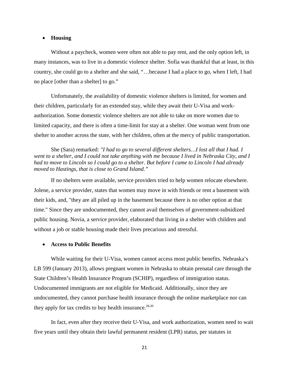#### • **Housing**

Without a paycheck, women were often not able to pay rent, and the only option left, in many instances, was to live in a domestic violence shelter. Sofia was thankful that at least, in this country, she could go to a shelter and she said, "…because I had a place to go, when I left, I had no place [other than a shelter] to go."

Unfortunately, the availability of domestic violence shelters is limited, for women and their children, particularly for an extended stay, while they await their U-Visa and workauthorization. Some domestic violence shelters are not able to take on more women due to limited capacity, and there is often a time-limit for stay at a shelter. One woman went from one shelter to another across the state, with her children, often at the mercy of public transportation.

She (Sara) remarked: *"I had to go to several different shelters…I lost all that I had. I went to a shelter, and I could not take anything with me because I lived in Nebraska City, and I had to move to Lincoln so I could go to a shelter. But before I came to Lincoln I had already moved to Hastings, that is close to Grand Island."*

If no shelters were available, service providers tried to help women relocate elsewhere. Jolene, a service provider, states that women may move in with friends or rent a basement with their kids, and, "they are all piled up in the basement because there is no other option at that time." Since they are undocumented, they cannot avail themselves of government-subsidized public housing. Novia, a service provider, elaborated that living in a shelter with children and without a job or stable housing made their lives precarious and stressful.

#### • **Access to Public Benefits**

While waiting for their U-Visa, women cannot access most public benefits. Nebraska's LB 599 (January 2013), allows pregnant women in Nebraska to obtain prenatal care through the State Children's Health Insurance Program (SCHIP), regardless of immigration status. Undocumented immigrants are not eligible for Medicaid. Additionally, since they are undocumented, they cannot purchase health insurance through the online marketplace nor can they apply for tax credits to buy health insurance.<sup>26,35</sup>

In fact, even after they receive their U-Visa, and work authorization, women need to wait five years until they obtain their lawful permanent resident (LPR) status, per statutes in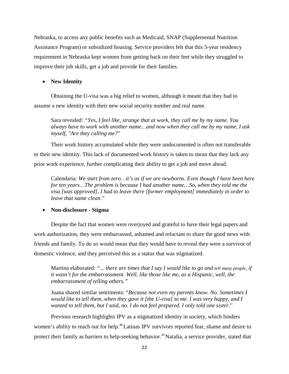Nebraska, to access any public benefits such as Medicaid, SNAP (Supplemental Nutrition Assistance Program) or subsidized housing. Service providers felt that this 5-year residency requirement in Nebraska kept women from getting back on their feet while they struggled to improve their job skills, get a job and provide for their families.

#### • **New Identity**

Obtaining the U-visa was a big relief to women, although it meant that they had to assume a new identity with their new social security number and real name.

Sara revealed: *"Yes, I feel like, strange that at work, they call me by my name. You always have to work with another name…and now when they call me by my name, I ask myself, "Are they calling me?"* 

Their work history accumulated while they were undocumented is often not transferable to their new identity. This lack of documented work history is taken to mean that they lack any prior work experience, further complicating their ability to get a job and move ahead.

Calendaria: *We start from zero…it's as if we are newborns. Even though I have been here for ten years…The problem is because I had another name…So, when they told me the visa [was approved], I had to leave there [former employment] immediately in order to leave that name clean."*

#### • **Non-disclosure - Stigma**

Despite the fact that women were overjoyed and grateful to have their legal papers and work authorization, they were embarrassed, ashamed and reluctant to share the good news with friends and family. To do so would mean that they would have to reveal they were a survivor of domestic violence, and they perceived this as a status that was stigmatized.

Martina elaborated: *"... there are times that I say I would like to go and tell many people, if it wasn't for the embarrassment. Well, like those like me, as a Hispanic, well, the embarrassment of telling others."* 

Juana shared similar sentiments: "*Because not even my parents know. No. Sometimes I would like to tell them, when they gave it [the U-visa] to me. I was very happy, and I wanted to tell them, but I said, no. I do not feel prepared. I only told one sister."*

Previous research highlights IPV as a stigmatized identity in society, which hinders women's ability to reach out for help.<sup>36</sup>Latinas IPV survivors reported fear, shame and desire to protect their family as barriers to help-seeking behavior.<sup>23</sup> Natalia, a service provider, stated that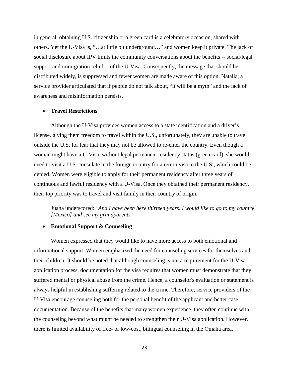in general, obtaining U.S. citizenship or a green card is a celebratory occasion, shared with others. Yet the U-Visa is, "…at little bit underground…" and women keep it private. The lack of social disclosure about IPV limits the community conversations about the benefits -- social/legal support and immigration relief -- of the U-Visa. Consequently, the message that should be distributed widely, is suppressed and fewer women are made aware of this option. Natalia, a service provider articulated that if people do not talk about, "it will be a myth" and the lack of awareness and misinformation persists.

#### • **Travel Restrictions**

Although the U-Visa provides women access to a state identification and a driver's license, giving them freedom to travel within the U.S., unfortunately, they are unable to travel outside the U.S. for fear that they may not be allowed to re-enter the country. Even though a woman might have a U-Visa, without legal permanent residency status (green card), she would need to visit a U.S. consulate in the foreign country for a return visa to the U.S., which could be denied. Women were eligible to apply for their permanent residency after three years of continuous and lawful residency with a U-Visa. Once they obtained their permanent residency, their top priority was to travel and visit family in their country of origin.

Juana underscored: *"And I have been here thirteen years. I would like to go to my country [Mexico] and see my grandparents."*

#### • **Emotional Support & Counseling**

Women expressed that they would like to have more access to both emotional and informational support. Women emphasized the need for counseling services for themselves and their children. It should be noted that although counseling is not a requirement for the U-Visa application process, documentation for the visa requires that women must demonstrate that they suffered mental or physical abuse from the crime. Hence, a counselor's evaluation or statement is always helpful in establishing suffering related to the crime. Therefore, service providers of the U-Visa encourage counseling both for the personal benefit of the applicant and better case documentation. Because of the benefits that many women experience, they often continue with the counseling beyond what might be needed to strengthen their U-Visa application. However, there is limited availability of free- or low-cost, bilingual counseling in the Omaha area.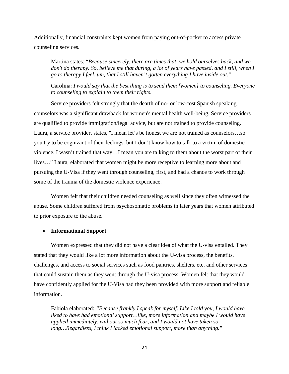Additionally, financial constraints kept women from paying out-of-pocket to access private counseling services.

Martina states: "*Because sincerely, there are times that, we hold ourselves back, and we don't do therapy. So, believe me that during, a lot of years have passed, and I still, when I go to therapy I feel, um, that I still haven't gotten everything I have inside out."*

Carolina: *I would say that the best thing is to send them [women] to counseling. Everyone to counseling to explain to them their rights.*

Service providers felt strongly that the dearth of no- or low-cost Spanish speaking counselors was a significant drawback for women's mental health well-being. Service providers are qualified to provide immigration/legal advice, but are not trained to provide counseling. Laura, a service provider, states, "I mean let's be honest we are not trained as counselors…so you try to be cognizant of their feelings, but I don't know how to talk to a victim of domestic violence. I wasn't trained that way…I mean you are talking to them about the worst part of their lives…" Laura, elaborated that women might be more receptive to learning more about and pursuing the U-Visa if they went through counseling, first, and had a chance to work through some of the trauma of the domestic violence experience.

Women felt that their children needed counseling as well since they often witnessed the abuse. Some children suffered from psychosomatic problems in later years that women attributed to prior exposure to the abuse.

#### • **Informational Support**

Women expressed that they did not have a clear idea of what the U-visa entailed. They stated that they would like a lot more information about the U-visa process, the benefits, challenges, and access to social services such as food pantries, shelters, etc. and other services that could sustain them as they went through the U-visa process. Women felt that they would have confidently applied for the U-Visa had they been provided with more support and reliable information.

Fabiola elaborated: *"Because frankly I speak for myself. Like I told you, I would have liked to have had emotional support…like, more information and maybe I would have applied immediately, without so much fear, and I would not have taken so long…Regardless, I think I lacked emotional support, more than anything."*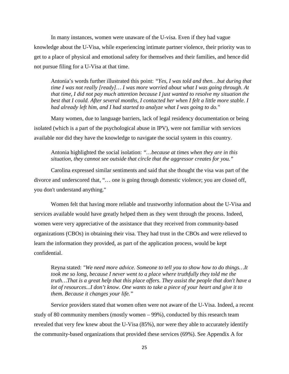In many instances, women were unaware of the U-visa. Even if they had vague knowledge about the U-Visa, while experiencing intimate partner violence, their priority was to get to a place of physical and emotional safety for themselves and their families, and hence did not pursue filing for a U-Visa at that time.

Antonia's words further illustrated this point: *"Yes, I was told and then…but during that time I was not really [ready]… I was more worried about what I was going through. At that time, I did not pay much attention because I just wanted to resolve my situation the*  best that I could. After several months, I contacted her when I felt a little more stable. I *had already left him, and I had started to analyze what I was going to do."*

Many women, due to language barriers, lack of legal residency documentation or being isolated (which is a part of the psychological abuse in IPV), were not familiar with services available nor did they have the knowledge to navigate the social system in this country.

Antonia highlighted the social isolation: *"…because at times when they are in this situation, they cannot see outside that circle that the aggressor creates for you."*

Carolina expressed similar sentiments and said that she thought the visa was part of the divorce and underscored that, "… one is going through domestic violence; you are closed off, you don't understand anything."

Women felt that having more reliable and trustworthy information about the U-Visa and services available would have greatly helped them as they went through the process. Indeed, women were very appreciative of the assistance that they received from community-based organizations (CBOs) in obtaining their visa. They had trust in the CBOs and were relieved to learn the information they provided, as part of the application process, would be kept confidential.

Reyna stated: *"We need more advice. Someone to tell you to show how to do things…It took me so long, because I never went to a place where truthfully they told me the truth…That is a great help that this place offers. They assist the people that don't have a lot of resources...I don't know. One wants to take a piece of your heart and give it to them. Because it changes your life."* 

Service providers stated that women often were not aware of the U-Visa. Indeed, a recent study of 80 community members (mostly women – 99%), conducted by this research team revealed that very few knew about the U-Visa (85%), nor were they able to accurately identify the community-based organizations that provided these services (69%). See Appendix A for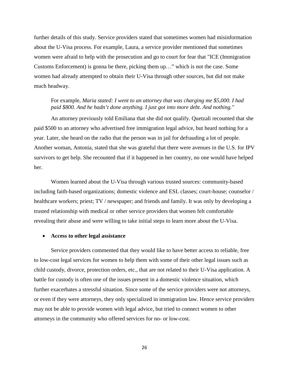further details of this study. Service providers stated that sometimes women had misinformation about the U-Visa process. For example, Laura, a service provider mentioned that sometimes women were afraid to help with the prosecution and go to court for fear that "ICE (Immigration Customs Enforcement) is gonna be there, picking them up…" which is not the case. Some women had already attempted to obtain their U-Visa through other sources, but did not make much headway.

#### For example, *Maria stated: I went to an attorney that was charging me \$5,000. I had paid \$800. And he hadn't done anything. I just got into more debt. And nothing."*

An attorney previously told Emiliana that she did not qualify. Quetzali recounted that she paid \$500 to an attorney who advertised free immigration legal advice, but heard nothing for a year. Later, she heard on the radio that the person was in jail for defrauding a lot of people. Another woman, Antonia, stated that she was grateful that there were avenues in the U.S. for IPV survivors to get help. She recounted that if it happened in her country, no one would have helped her.

Women learned about the U-Visa through various trusted sources: community-based including faith-based organizations; domestic violence and ESL classes; court-house; counselor / healthcare workers; priest; TV / newspaper; and friends and family. It was only by developing a trusted relationship with medical or other service providers that women felt comfortable revealing their abuse and were willing to take initial steps to learn more about the U-Visa.

#### • **Access to other legal assistance**

Service providers commented that they would like to have better access to reliable, free to low-cost legal services for women to help them with some of their other legal issues such as child custody, divorce, protection orders, etc., that are not related to their U-Visa application. A battle for custody is often one of the issues present in a domestic violence situation, which further exacerbates a stressful situation. Since some of the service providers were not attorneys, or even if they were attorneys, they only specialized in immigration law. Hence service providers may not be able to provide women with legal advice, but tried to connect women to other attorneys in the community who offered services for no- or low-cost.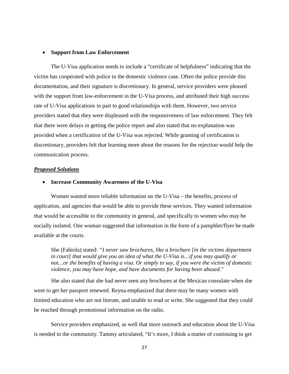#### • **Support from Law Enforcement**

The U-Visa application needs to include a "certificate of helpfulness" indicating that the victim has cooperated with police in the domestic violence case. Often the police provide this documentation, and their signature is discretionary. In general, service providers were pleased with the support from law-enforcement in the U-Visa process, and attributed their high success rate of U-Visa applications in part to good relationships with them. However, two service providers stated that they were displeased with the responsiveness of law enforcement. They felt that there were delays in getting the police report and also stated that no explanation was provided when a certification of the U-Visa was rejected. While granting of certification is discretionary, providers felt that learning more about the reasons for the rejection would help the communication process.

#### *Proposed Solutions*

#### • **Increase Community Awareness of the U-Visa**

Women wanted more reliable information on the U-Visa – the benefits, process of application, and agencies that would be able to provide these services. They wanted information that would be accessible to the community in general, and specifically to women who may be socially isolated. One woman suggested that information in the form of a pamphlet/flyer be made available at the courts.

She (Fabiola) stated: *"I never saw brochures, like a brochure [in the victims department in court] that would give you an idea of what the U-Visa is…if you may qualify or not…or the benefits of having a visa. Or simply to say, if you were the victim of domestic violence, you may have hope, and have documents for having been abused."*

She also stated that she had never seen any brochures at the Mexican consulate when she went to get her passport renewed. Reyna emphasized that there may be many women with limited education who are not literate, and unable to read or write. She suggested that they could be reached through promotional information on the radio.

Service providers emphasized, as well that more outreach and education about the U-Visa is needed in the community. Tammy articulated, "It's more, I think a matter of continuing to get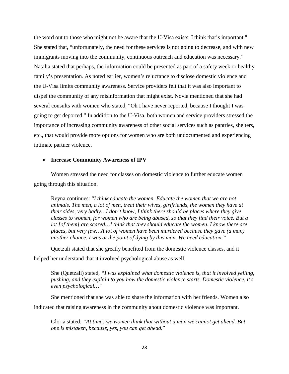the word out to those who might not be aware that the U-Visa exists. I think that's important." She stated that, "unfortunately, the need for these services is not going to decrease, and with new immigrants moving into the community, continuous outreach and education was necessary." Natalia stated that perhaps, the information could be presented as part of a safety week or healthy family's presentation. As noted earlier, women's reluctance to disclose domestic violence and the U-Visa limits community awareness. Service providers felt that it was also important to dispel the community of any misinformation that might exist. Novia mentioned that she had several consults with women who stated, "Oh I have never reported, because I thought I was going to get deported." In addition to the U-Visa, both women and service providers stressed the importance of increasing community awareness of other social services such as pantries, shelters, etc., that would provide more options for women who are both undocumented and experiencing intimate partner violence.

#### • **Increase Community Awareness of IPV**

Women stressed the need for classes on domestic violence to further educate women going through this situation.

Reyna continues: "*I think educate the women. Educate the women that we are not animals. The men, a lot of men, treat their wives, girlfriends, the women they have at their sides, very badly…I don't know, I think there should be places where they give classes to women, for women who are being abused, so that they find their voice. But a lot [of them] are scared…I think that they should educate the women. I know there are places, but very few…A lot of women have been murdered because they gave (a man) another chance. I was at the point of dying by this man. We need education."*

Quetzali stated that she greatly benefited from the domestic violence classes, and it helped her understand that it involved psychological abuse as well.

She (Quetzali) stated, *"I was explained what domestic violence is, that it involved yelling, pushing, and they explain to you how the domestic violence starts. Domestic violence, it's even psychological…"* 

She mentioned that she was able to share the information with her friends. Women also indicated that raising awareness in the community about domestic violence was important.

Gloria stated: *"At times we women think that without a man we cannot get ahead. But one is mistaken, because, yes, you can get ahead.*"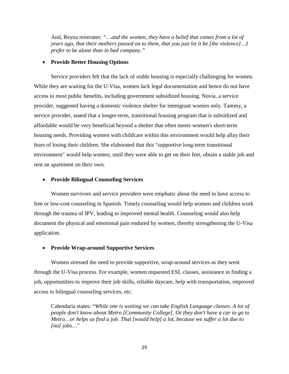And, Reyna reiterates: *"…and the women, they have a belief that comes from a lot of years ago, that their mothers passed on to them, that you just let it be [the violence]…I prefer to be alone than in bad company."*

#### • **Provide Better Housing Options**

Service providers felt that the lack of stable housing is especially challenging for women. While they are waiting for the U-Visa, women lack legal documentation and hence do not have access to most public benefits, including government subsidized housing. Novia, a service provider, suggested having a domestic violence shelter for immigrant women only. Tammy, a service provider, stated that a longer-term, transitional housing program that is subsidized and affordable would be very beneficial beyond a shelter that often meets women's short-term housing needs. Providing women with childcare within this environment would help allay their fears of losing their children. She elaborated that this "supportive long-term transitional environment" would help women, until they were able to get on their feet, obtain a stable job and rent an apartment on their own.

#### • **Provide Bilingual Counseling Services**

Women survivors and service providers were emphatic about the need to have access to free or low-cost counseling in Spanish. Timely counseling would help women and children work through the trauma of IPV, leading to improved mental health. Counseling would also help document the physical and emotional pain endured by women, thereby strengthening the U-Visa application.

#### • **Provide Wrap-around Supportive Services**

Women stressed the need to provide supportive, wrap-around services as they went through the U-Visa process. For example, women requested ESL classes, assistance in finding a job, opportunities to improve their job skills, reliable daycare, help with transportation, improved access to bilingual counseling services, etc.

Calendaria states: "*While one is waiting we can take English Language classes. A lot of people don't know about Metro [Community College]. Or they don't have a car to go to Metro…or helps us find a job. That [would help] a lot, because we suffer a lot due to [no] jobs…"*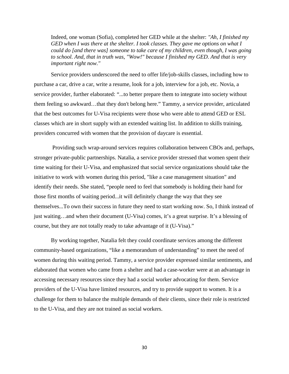Indeed, one woman (Sofia), completed her GED while at the shelter: *"Ah, I finished my GED when I was there at the shelter. I took classes. They gave me options on what I could do [and there was] someone to take care of my children, even though, I was going to school. And, that in truth was, "Wow!" because I finished my GED. And that is very important right now."* 

Service providers underscored the need to offer life/job-skills classes, including how to purchase a car, drive a car, write a resume, look for a job, interview for a job, etc. Novia, a service provider, further elaborated: "...to better prepare them to integrate into society without them feeling so awkward…that they don't belong here." Tammy, a service provider, articulated that the best outcomes for U-Visa recipients were those who were able to attend GED or ESL classes which are in short supply with an extended waiting list. In addition to skills training, providers concurred with women that the provision of daycare is essential.

Providing such wrap-around services requires collaboration between CBOs and, perhaps, stronger private-public partnerships. Natalia, a service provider stressed that women spent their time waiting for their U-Visa, and emphasized that social service organizations should take the initiative to work with women during this period, "like a case management situation" and identify their needs. She stated, "people need to feel that somebody is holding their hand for those first months of waiting period...it will definitely change the way that they see themselves...To own their success in future they need to start working now. So, I think instead of just waiting…and when their document (U-Visa) comes, it's a great surprise. It's a blessing of course, but they are not totally ready to take advantage of it (U-Visa)."

By working together, Natalia felt they could coordinate services among the different community-based organizations, "like a memorandum of understanding" to meet the need of women during this waiting period. Tammy, a service provider expressed similar sentiments, and elaborated that women who came from a shelter and had a case-worker were at an advantage in accessing necessary resources since they had a social worker advocating for them. Service providers of the U-Visa have limited resources, and try to provide support to women. It is a challenge for them to balance the multiple demands of their clients, since their role is restricted to the U-Visa, and they are not trained as social workers.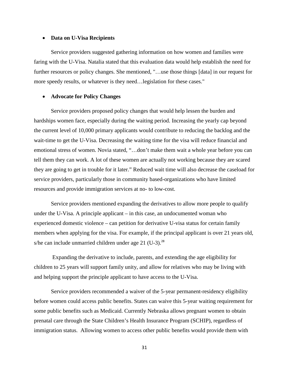#### • **Data on U-Visa Recipients**

Service providers suggested gathering information on how women and families were faring with the U-Visa. Natalia stated that this evaluation data would help establish the need for further resources or policy changes. She mentioned, "...use those things [data] in our request for more speedy results, or whatever is they need…legislation for these cases."

#### • **Advocate for Policy Changes**

Service providers proposed policy changes that would help lessen the burden and hardships women face, especially during the waiting period. Increasing the yearly cap beyond the current level of 10,000 primary applicants would contribute to reducing the backlog and the wait-time to get the U-Visa. Decreasing the waiting time for the visa will reduce financial and emotional stress of women. Novia stated, "…don't make them wait a whole year before you can tell them they can work. A lot of these women are actually not working because they are scared they are going to get in trouble for it later." Reduced wait time will also decrease the caseload for service providers, particularly those in community based-organizations who have limited resources and provide immigration services at no- to low-cost.

Service providers mentioned expanding the derivatives to allow more people to qualify under the U-Visa. A principle applicant – in this case, an undocumented woman who experienced domestic violence – can petition for derivative U-visa status for certain family members when applying for the visa. For example, if the principal applicant is over 21 years old, s/he can include unmarried children under age  $21$  (U-3).<sup>28</sup>

Expanding the derivative to include, parents, and extending the age eligibility for children to 25 years will support family unity, and allow for relatives who may be living with and helping support the principle applicant to have access to the U-Visa.

Service providers recommended a waiver of the 5-year permanent-residency eligibility before women could access public benefits. States can waive this 5-year waiting requirement for some public benefits such as Medicaid. Currently Nebraska allows pregnant women to obtain prenatal care through the State Children's Health Insurance Program (SCHIP), regardless of immigration status. Allowing women to access other public benefits would provide them with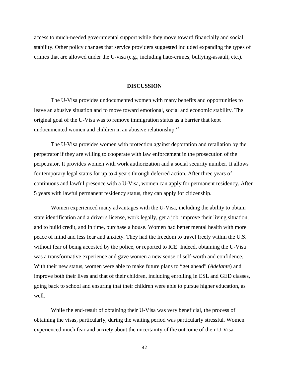access to much-needed governmental support while they move toward financially and social stability. Other policy changes that service providers suggested included expanding the types of crimes that are allowed under the U-visa (e.g., including hate-crimes, bullying-assault, etc.).

#### **DISCUSSION**

The U-Visa provides undocumented women with many benefits and opportunities to leave an abusive situation and to move toward emotional, social and economic stability. The original goal of the U-Visa was to remove immigration status as a barrier that kept undocumented women and children in an abusive relationship.<sup>22</sup>

The U-Visa provides women with protection against deportation and retaliation by the perpetrator if they are willing to cooperate with law enforcement in the prosecution of the perpetrator. It provides women with work authorization and a social security number. It allows for temporary legal status for up to 4 years through deferred action. After three years of continuous and lawful presence with a U-Visa, women can apply for permanent residency. After 5 years with lawful permanent residency status, they can apply for citizenship.

Women experienced many advantages with the U-Visa, including the ability to obtain state identification and a driver's license, work legally, get a job, improve their living situation, and to build credit, and in time, purchase a house. Women had better mental health with more peace of mind and less fear and anxiety. They had the freedom to travel freely within the U.S. without fear of being accosted by the police, or reported to ICE. Indeed, obtaining the U-Visa was a transformative experience and gave women a new sense of self-worth and confidence. With their new status, women were able to make future plans to "get ahead" (*Adelante*) and improve both their lives and that of their children, including enrolling in ESL and GED classes, going back to school and ensuring that their children were able to pursue higher education, as well.

While the end-result of obtaining their U-Visa was very beneficial, the process of obtaining the visas, particularly, during the waiting period was particularly stressful. Women experienced much fear and anxiety about the uncertainty of the outcome of their U-Visa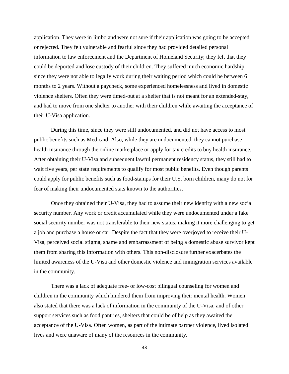application. They were in limbo and were not sure if their application was going to be accepted or rejected. They felt vulnerable and fearful since they had provided detailed personal information to law enforcement and the Department of Homeland Security; they felt that they could be deported and lose custody of their children. They suffered much economic hardship since they were not able to legally work during their waiting period which could be between 6 months to 2 years. Without a paycheck, some experienced homelessness and lived in domestic violence shelters. Often they were timed-out at a shelter that is not meant for an extended-stay, and had to move from one shelter to another with their children while awaiting the acceptance of their U-Visa application.

During this time, since they were still undocumented, and did not have access to most public benefits such as Medicaid. Also, while they are undocumented, they cannot purchase health insurance through the online marketplace or apply for tax credits to buy health insurance. After obtaining their U-Visa and subsequent lawful permanent residency status, they still had to wait five years, per state requirements to qualify for most public benefits. Even though parents could apply for public benefits such as food-stamps for their U.S. born children, many do not for fear of making their undocumented stats known to the authorities.

Once they obtained their U-Visa, they had to assume their new identity with a new social security number. Any work or credit accumulated while they were undocumented under a fake social security number was not transferable to their new status, making it more challenging to get a job and purchase a house or car. Despite the fact that they were overjoyed to receive their U-Visa, perceived social stigma, shame and embarrassment of being a domestic abuse survivor kept them from sharing this information with others. This non-disclosure further exacerbates the limited awareness of the U-Visa and other domestic violence and immigration services available in the community.

There was a lack of adequate free- or low-cost bilingual counseling for women and children in the community which hindered them from improving their mental health. Women also stated that there was a lack of information in the community of the U-Visa, and of other support services such as food pantries, shelters that could be of help as they awaited the acceptance of the U-Visa. Often women, as part of the intimate partner violence, lived isolated lives and were unaware of many of the resources in the community.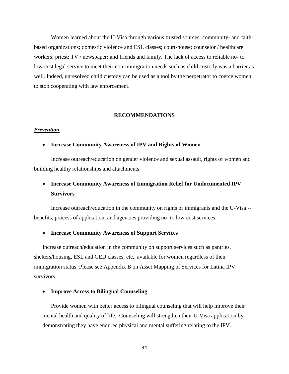Women learned about the U-Visa through various trusted sources: community- and faithbased organizations; domestic violence and ESL classes; court-house; counselor / healthcare workers; priest; TV / newspaper; and friends and family. The lack of access to reliable no- to low-cost legal service to meet their non-immigration needs such as child custody was a barrier as well. Indeed, unresolved child custody can be used as a tool by the perpetrator to coerce women to stop cooperating with law enforcement.

#### **RECOMMENDATIONS**

#### *Prevention*

#### • **Increase Community Awareness of IPV and Rights of Women**

Increase outreach/education on gender violence and sexual assault, rights of women and building healthy relationships and attachments.

### • **Increase Community Awareness of Immigration Relief for Undocumented IPV Survivors**

Increase outreach/education in the community on rights of immigrants and the U-Visa - benefits, process of application, and agencies providing no- to low-cost services.

#### • **Increase Community Awareness of Support Services**

Increase outreach/education in the community on support services such as pantries, shelters/housing, ESL and GED classes, etc., available for women regardless of their immigration status. Please see Appendix B on Asset Mapping of Services for Latina IPV survivors.

#### • **Improve Access to Bilingual Counseling**

Provide women with better access to bilingual counseling that will help improve their mental health and quality of life. Counseling will strengthen their U-Visa application by demonstrating they have endured physical and mental suffering relating to the IPV.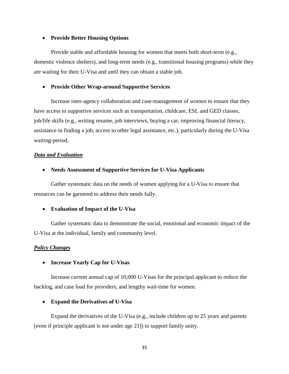#### • **Provide Better Housing Options**

Provide stable and affordable housing for women that meets both short-term (e.g., domestic violence shelters), and long-term needs (e.g., transitional housing programs) while they are waiting for their U-Visa and until they can obtain a stable job.

#### • **Provide Other Wrap-around Supportive Services**

Increase inter-agency collaboration and case-management of women to ensure that they have access to supportive services such as transportation, childcare, ESL and GED classes, job/life skills (e.g., writing resume, job interviews, buying a car, improving financial literacy, assistance in finding a job, access to other legal assistance, etc.), particularly during the U-Visa waiting-period.

#### *Data and Evaluation*

#### • **Needs Assessment of Supportive Services for U-Visa Applicants**

Gather systematic data on the needs of women applying for a U-Visa to ensure that resources can be garnered to address their needs fully.

#### • **Evaluation of Impact of the U-Visa**

Gather systematic data to demonstrate the social, emotional and economic impact of the U-Visa at the individual, family and community level.

#### *Policy Changes*

#### • **Increase Yearly Cap for U-Visas**

Increase current annual cap of 10,000 U-Visas for the principal applicant to reduce the backlog, and case load for providers, and lengthy wait-time for women.

#### • **Expand the Derivatives of U-Visa**

Expand the derivatives of the U-Visa (e.g., include children up to 25 years and parents [even if principle applicant is not under age 21]) to support family unity.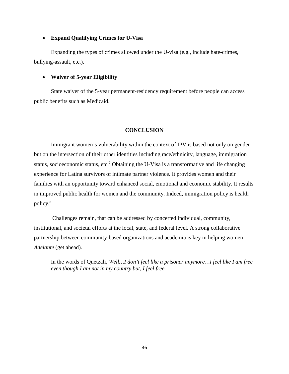#### • **Expand Qualifying Crimes for U-Visa**

Expanding the types of crimes allowed under the U-visa (e.g., include hate-crimes, bullying-assault, etc.).

#### • **Waiver of 5-year Eligibility**

State waiver of the 5-year permanent-residency requirement before people can access public benefits such as Medicaid.

#### **CONCLUSION**

Immigrant women's vulnerability within the context of IPV is based not only on gender but on the intersection of their other identities including race/ethnicity, language, immigration status, socioeconomic status, etc.<sup>7</sup> Obtaining the U-Visa is a transformative and life changing experience for Latina survivors of intimate partner violence. It provides women and their families with an opportunity toward enhanced social, emotional and economic stability. It results in improved public health for women and the community. Indeed, immigration policy is health policy.<sup>8</sup>

Challenges remain, that can be addressed by concerted individual, community, institutional, and societal efforts at the local, state, and federal level. A strong collaborative partnership between community-based organizations and academia is key in helping women *Adelante* (get ahead).

In the words of Quetzali, *Well…I don't feel like a prisoner anymore…I feel like I am free even though I am not in my country but, I feel free.*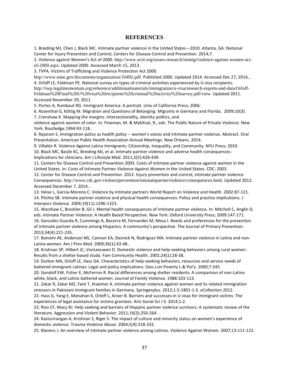#### **REFERENCES**

1. Breiding MJ, Chen J, Black MC. Intimate partner violence in the United States—2010. Atlanta, GA: National Center for Injury Prevention and Control, Centers for Disease Control and Prevention. 2014;7.

2. Violence against Women's Act of 2000. http://www.ncsl.org/issues-research/immig/violence-against-women-actof-2000.aspx. Updated 2000. Accessed March 15, 2013.

3. TVPA. Victims of Trafficking and Violence Protection Act 2000.

http://www.state.gov/documents/organization/10492.pdf. Published 2000. Updated 2014. Accessed Dec 27, 2014, . 4. Orloff LE, Feldman PE. National survey on types of criminal activities experienced by U-visa recipients. http://iwp.legalmomentum.org/reference/additionalmaterials/immigration/u-visa/research-reports-and-data/Orloff-Feldman%20Final%20U%20visa%20recipients%20criminal%20activity%20survey.pdf/view. Updated 2011. Accessed November 29, 2011.

5. Portes A, Rumbaut RG. Immigrant America: A portrait. Univ of California Press; 2006.

6. Rosenthal G, Köttig M. Migration and Questions of Belonging. Migrants in Germany and Florida. 2009;10(3).

7. Crenshaw K. Mapping the margins: Intersectionality, identity politics, and

violence against women of color. In: Fineman, M. & Mykitiuk, R., eds. The Public Nature of Private Violence. New York: Routledge.1994:93-118.

8. Rajaram S. Immigration policy as health policy -- women's voices and intimate partner violence. Abstract. Oral Presentation. American Public Health Association Annual Meetings. New Orleans. 2014.

9. Villalón R. Violence Against Latina Immigrants: Citizenship, Inequality, and Community. NYU Press; 2010. 10. Black MC, Basile KC, Breiding MJ, et al. Intimate partner violence and adverse health consequences: Implications for clinicians. Am J Lifestyle Med. 2011;5(5):428-439.

11. Centers for Disease Control and Prevention 2003. Costs of intimate partner violence against women in the United States. In: Costs of Intimate Partner Violence Against Women in the United States. CDC; 2003.

12. Center for Disease Control and Prevention. 2012. Injury prevention and control, intimate partner violence: Consequences. http://www.cdc.gov/violenceprevention/intimatepartnerviolence/consequences.html. Updated 2012. Accessed December 7, 2014, .

13. Heise L, Garcia-Moreno C. Violence by intimate partners World Report on Violence and Health. 2002:87-121. 14. Plichta SB. Intimate partner violence and physical health consequences: Policy and practice implications. J Interpers Violence. 2004;19(11):1296-1323.

15. Warshaw C, Brashler B, Gil J. Mental health consequences of intimate partner violence. In: Mitchell C, Anglin D, eds. Intimate Partner Violence: A Health Based Perspective. New York: Oxford University Press; 2009:147-171.

16. Gonzalez-Guarda R, Cummings A, Becerra M, Fernandez M, Mesa I. Needs and preferences for the prevention of intimate partner violence among Hispanics: A community's perspective. The Journal of Primary Prevention. 2013;34(4):221-235.

17. Bonomi AE, Anderson ML, Cannon EA, Slesnick N, Rodriguez MA. Intimate partner violence in Latina and non-Latina women. Am J Prev Med. 2009;36(1):43-48..

18. Krishnan SP, Hilbert JC, VanLeeuwen D. Domestic violence and help-seeking behaviors among rural women: Results from a shelter-based study. Fam Community Health. 2001;24(1):28-38.

19. Dutton MA, Orloff LE, Hass GA. Characteristics of help-seeking behaviors, resources and service needs of battered immigrant Latinas: Legal and policy implications. Geo.J.on Poverty L.& Pol'y. 2000;7:245.

20. Gondolf EW, Fisher E, McFerron R. Racial differences among shelter residents: A comparison of non-Latino white, black, and Latino battered women. Journal of Family Violence. 1988:103-113.

21. Zakar R, Zakar MZ, Faist T, Kraemer A. Intimate partner violence against women and its related immigration stressors in Pakistani immigrant families in Germany. Springerplus. 2012;1:5-1801-1-5. eCollection 2012.

22. Hass G, Yang E, Monahan K, Orloff L, Anver B. Barriers and successes in U visas for immigrant victims: The experiences of legal assistance for victims grantees. Arts Social Sci J S. 2014;1:2.

23. Rizo CF, Macy RJ. Help seeking and barriers of Hispanic partner violence survivors: A systematic review of the literature. Aggression and Violent Behavior. 2011;16(3):250-264.

24. Kasturirangan A, Krishnan S, Riger S. The impact of culture and minority status on women's experience of domestic violence. Trauma Violence Abuse. 2004;5(4):318-332.

25. Klevens J. An overview of intimate partner violence among Latinos. Violence Against Women. 2007;13:111-122.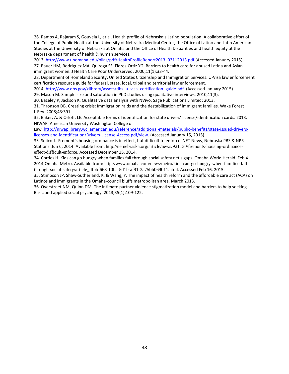26. Ramos A, Rajaram S, Gouveia L, et al. Health profile of Nebraska's Latino population. A collaborative effort of the College of Public Health at the University of Nebraska Medical Center, the Office of Latino and Latin American Studies at the University of Nebraska at Omaha and the Office of Health Disparities and health equity at the Nebraska department of health & human services.

2013. [http://www.unomaha.edu/ollas/pdf/HealthProfileReport2013\\_03112013.pdf](http://www.unomaha.edu/ollas/pdf/HealthProfileReport2013_03112013.pdf) (Accessed January 2015).

27. Bauer HM, Rodriguez MA, Quiroga SS, Flores-Ortiz YG. Barriers to health care for abused Latina and Asian immigrant women. J Health Care Poor Underserved. 2000;11(1):33-44.

28. Department of Homeland Security, United States Citizenship and Immigration Services. U-Visa law enforcement certification resource guide for federal, state, local, tribal and territorial law enforcement.

2014. [http://www.dhs.gov/xlibrary/assets/dhs\\_u\\_visa\\_certification\\_guide.pdf.](http://www.dhs.gov/xlibrary/assets/dhs_u_visa_certification_guide.pdf) (Accessed January 2015).

29. Mason M. Sample size and saturation in PhD studies using qualitative interviews. 2010;11(3).

30. Bazeley P, Jackson K. Qualitative data analysis with NVivo. Sage Publications Limited; 2013.

31. Thronson DB. Creating crisis: Immigration raids and the destabilization of immigrant families. Wake Forest L.Rev. 2008;43:391.

32. Baker, A. & Orloff, LE. Acceptable forms of identification for state drivers' license/identification cards. 2013. NIWAP. American University Washington College of

Law. [http://niwaplibrary.wcl.american.edu/reference/additional-materials/public-benefits/state-issued-drivers](http://niwaplibrary.wcl.american.edu/reference/additional-materials/public-benefits/state-issued-drivers-licenses-and-identification/Drivers-License-Access.pdf/view)[licenses-and-identification/Drivers-License-Access.pdf/view.](http://niwaplibrary.wcl.american.edu/reference/additional-materials/public-benefits/state-issued-drivers-licenses-and-identification/Drivers-License-Access.pdf/view) (Accessed January 15, 2015).

33. Sojico J. Fremont's housing ordinance is in effect, but difficult to enforce. NET News, Nebraska PBS & NPR Stations. Jun 6, 2014. Available from: http://netnebraska.org/article/news/921130/fremonts-housing-ordinanceeffect-difficult-enforce. Accessed December 15, 2014.

34. Cordes H. Kids can go hungry when families fall through social safety net's gaps. Omaha World Herald. Feb 4 2014;Omaha Metro. Available from: http://www.omaha.com/news/metro/kids-can-go-hungry-when-families-fallthrough-social-safety/article\_dfbbf668-10ba-5d1b-af91-3a75bb069011.html. Accessed Feb 16, 2015.

35. Stimpson JP, Shaw-Sutherland, K. & Wang, Y. The impact of health reform and the affordable care act (ACA) on Latinos and immigrants in the Omaha-council bluffs metropolitan area. March 2013.

36. Overstreet NM, Quinn DM. The intimate partner violence stigmatization model and barriers to help seeking. Basic and applied social psychology. 2013;35(1):109-122.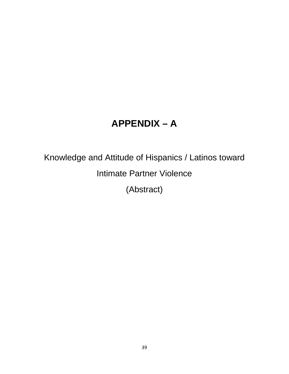## **APPENDIX – A**

## Knowledge and Attitude of Hispanics / Latinos toward Intimate Partner Violence (Abstract)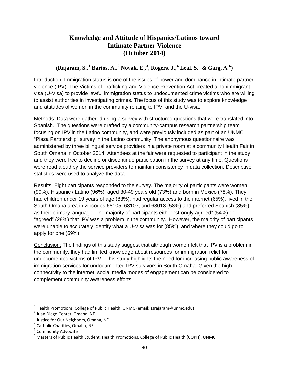#### **Knowledge and Attitude of Hispanics/Latinos toward Intimate Partner Violence (October 2014)**

### **(Rajaram, S., [1](#page-41-0) Barios, A.,[2](#page-41-1) Novak, E.,[3](#page-41-2) , Rogers, J.,[4](#page-41-3) Leal, S.[5](#page-41-4) & Garg, A.[6](#page-41-5) )**

Introduction: Immigration status is one of the issues of power and dominance in intimate partner violence (IPV). The Victims of Trafficking and Violence Prevention Act created a nonimmigrant visa (U-Visa) to provide lawful immigration status to undocumented crime victims who are willing to assist authorities in investigating crimes. The focus of this study was to explore knowledge and attitudes of women in the community relating to IPV, and the U-visa.

Methods: Data were gathered using a survey with structured questions that were translated into Spanish. The questions were drafted by a community-campus research partnership team focusing on IPV in the Latino community, and were previously included as part of an UNMC "Plaza Partnership" survey in the Latino community. The anonymous questionnaire was administered by three bilingual service providers in a private room at a community Health Fair in South Omaha in October 2014. Attendees at the fair were requested to participant in the study and they were free to decline or discontinue participation in the survey at any time. Questions were read aloud by the service providers to maintain consistency in data collection. Descriptive statistics were used to analyze the data.

Results: Eight participants responded to the survey. The majority of participants were women (99%), Hispanic / Latino (96%), aged 30-49 years old (73%) and born in Mexico (78%). They had children under 19 years of age (83%), had regular access to the internet (65%), lived in the South Omaha area in zipcodes 68105, 68107, and 68018 (58%) and preferred Spanish (85%) as their primary language. The majority of participants either "strongly agreed" (54%) or "agreed" (28%) that IPV was a problem in the community. However, the majority of participants were unable to accurately identify what a U-Visa was for (85%), and where they could go to apply for one (69%).

Conclusion: The findings of this study suggest that although women felt that IPV is a problem in the community, they had limited knowledge about resources for immigration relief for undocumented victims of IPV. This study highlights the need for increasing public awareness of immigration services for undocumented IPV survivors in South Omaha. Given the high connectivity to the internet, social media modes of engagement can be considered to complement community awareness efforts.

<span id="page-41-0"></span> <sup>1</sup> Health Promotions, College of Public Health, UNMC (email: ssrajaram@unmc.edu)

<span id="page-41-1"></span><sup>&</sup>lt;sup>2</sup> Juan Diego Center, Omaha, NE

<span id="page-41-2"></span><sup>&</sup>lt;sup>3</sup> Justice for Our Neighbors, Omaha, NE

<span id="page-41-3"></span><sup>4</sup> Catholic Charities, Omaha, NE

<span id="page-41-4"></span><sup>5</sup> Community Advocate

<span id="page-41-5"></span> $6$  Masters of Public Health Student, Health Promotions, College of Public Health (COPH), UNMC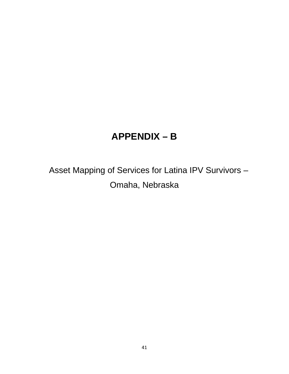## **APPENDIX – B**

Asset Mapping of Services for Latina IPV Survivors – Omaha, Nebraska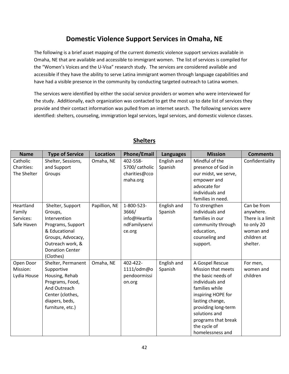## **Domestic Violence Support Services in Omaha, NE**

The following is a brief asset mapping of the current domestic violence support services available in Omaha, NE that are available and accessible to immigrant women. The list of services is compiled for the "Women's Voices and the U-Visa" research study. The services are considered available and accessible if they have the ability to serve Latina immigrant women through language capabilities and have had a visible presence in the community by conducting targeted outreach to Latina women.

The services were identified by either the social service providers or women who were interviewed for the study. Additionally, each organization was contacted to get the most up to date list of services they provide and their contact information was pulled from an internet search. The following services were identified: shelters, counseling, immigration legal services, legal services, and domestic violence classes.

| <b>Name</b>           | <b>Type of Service</b>          | <b>Location</b> | <b>Phone/Email</b> | <b>Languages</b> | <b>Mission</b>                               | <b>Comments</b>       |
|-----------------------|---------------------------------|-----------------|--------------------|------------------|----------------------------------------------|-----------------------|
| Catholic              | Shelter, Sessions,              | Omaha, NE       | 402-558-           | English and      | Mindful of the                               | Confidentiality       |
| Charities:            | and Support                     |                 | 5700/ catholic     | Spanish          | presence of God in                           |                       |
| The Shelter           | Groups                          |                 | charities@cco      |                  | our midst, we serve,                         |                       |
|                       |                                 |                 | maha.org           |                  | empower and                                  |                       |
|                       |                                 |                 |                    |                  | advocate for                                 |                       |
|                       |                                 |                 |                    |                  | individuals and                              |                       |
|                       |                                 |                 |                    |                  | families in need.                            |                       |
| Heartland             | Shelter, Support                | Papillion, NE   | 1-800-523-         | English and      | To strengthen                                | Can be from           |
| Family                | Groups,                         |                 | 3666/              | Spanish          | individuals and                              | anywhere.             |
| Services:             | Intervention                    |                 | info@Heartla       |                  | families in our                              | There is a limit      |
| Safe Haven            | Programs, Support               |                 | ndFamilyservi      |                  | community through                            | to only 20            |
|                       | & Educational                   |                 | ce.org             |                  | education,                                   | woman and             |
|                       | Groups, Advocacy,               |                 |                    |                  | counseling and                               | children at           |
|                       | Outreach work, &                |                 |                    |                  | support.                                     | shelter.              |
|                       | <b>Donation Center</b>          |                 |                    |                  |                                              |                       |
|                       | (Clothes)                       |                 | 402-422-           |                  |                                              |                       |
| Open Door<br>Mission: | Shelter, Permanent              | Omaha, NE       |                    | English and      | A Gospel Rescue<br><b>Mission that meets</b> | For men,              |
|                       | Supportive                      |                 | 1111/odm@o         | Spanish          | the basic needs of                           | women and<br>children |
| Lydia House           | Housing, Rehab                  |                 | pendoormissi       |                  | individuals and                              |                       |
|                       | Programs, Food,<br>And Outreach |                 | on.org             |                  | families while                               |                       |
|                       | Center (clothes,                |                 |                    |                  | inspiring HOPE for                           |                       |
|                       | diapers, beds,                  |                 |                    |                  | lasting change,                              |                       |
|                       | furniture, etc.)                |                 |                    |                  | providing long-term                          |                       |
|                       |                                 |                 |                    |                  | solutions and                                |                       |
|                       |                                 |                 |                    |                  | programs that break                          |                       |
|                       |                                 |                 |                    |                  | the cycle of                                 |                       |
|                       |                                 |                 |                    |                  | homelessness and                             |                       |

#### **Shelters**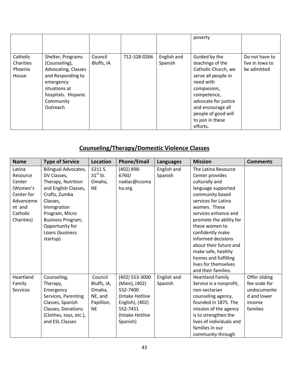|                                           |                                                                                                                                                              |                       |              |                        | poverty                                                                                                                                                                                                                        |                                                  |
|-------------------------------------------|--------------------------------------------------------------------------------------------------------------------------------------------------------------|-----------------------|--------------|------------------------|--------------------------------------------------------------------------------------------------------------------------------------------------------------------------------------------------------------------------------|--------------------------------------------------|
| Catholic<br>Charities<br>Phoenix<br>House | Shelter, Programs<br>(Counseling),<br>Advocating, Classes<br>and Responding to<br>emergency<br>situations at<br>hospitals. Hispanic<br>Community<br>Outreach | Council<br>Bluffs, IA | 712-328-0266 | English and<br>Spanish | Guided by the<br>teachings of the<br>Catholic Church, we<br>serve all people in<br>need with<br>compassion,<br>competence,<br>advocate for justice<br>and encourage all<br>people of good will<br>to join in these<br>efforts. | Do not have to<br>live in lowa to<br>be admitted |

## **Counseling/Therapy/Domestic Violence Classes**

| <b>Name</b>     | <b>Type of Service</b>      | Location    | <b>Phone/Email</b> | <b>Languages</b> | <b>Mission</b>           | <b>Comments</b> |
|-----------------|-----------------------------|-------------|--------------------|------------------|--------------------------|-----------------|
| Latina          | <b>Bilingual Advocates,</b> | 5211 S.     | $(402) 898 -$      | English and      | The Latina Resource      |                 |
| Resource        | DV Classes,                 | $31st$ St.  | 6760/              | Spanish          | Center provides          |                 |
| Center          | Therapy, Nutrition          | Omaha,      | nadiac@ccoma       |                  | culturally and           |                 |
| (Women's        | and English Classes,        | <b>NE</b>   | ha.org             |                  | language supported       |                 |
| Center for      | Crafts, Zumba               |             |                    |                  | community based          |                 |
| Advanceme       | Classes,                    |             |                    |                  | services for Latina      |                 |
| nt and          | Immigration                 |             |                    |                  | women. These             |                 |
| Catholic        | Program, Micro              |             |                    |                  | services enhance and     |                 |
| Charities)      | Business Program,           |             |                    |                  | promote the ability for  |                 |
|                 | Opportunity for             |             |                    |                  | these women to           |                 |
|                 | Loans (business             |             |                    |                  | confidently make         |                 |
|                 | startup)                    |             |                    |                  | informed decisions       |                 |
|                 |                             |             |                    |                  | about their future and   |                 |
|                 |                             |             |                    |                  | make safe, healthy       |                 |
|                 |                             |             |                    |                  | homes and fulfilling     |                 |
|                 |                             |             |                    |                  | lives for themselves     |                 |
|                 |                             |             |                    |                  | and their families.      |                 |
| Heartland       | Counseling,                 | Council     | (402) 553-3000     | English and      | <b>Heartland Family</b>  | Offer sliding   |
| Family          | Therapy,                    | Bluffs, IA, | (Main), (402)      | Spanish          | Service is a nonprofit,  | fee scale for   |
| <b>Services</b> | Emergency                   | Omaha,      | 552-7400           |                  | non-sectarian            | undocumente     |
|                 | Services, Parenting         | NE, and     | (Intake Hotline    |                  | counseling agency,       | d and lower     |
|                 | Classes, Spanish            | Papillion,  | English), (402)    |                  | founded in 1875. The     | income          |
|                 | Classes, Donations          | <b>NE</b>   | 552-7451           |                  | mission of the agency    | families        |
|                 | (Clothes, toys, etc.),      |             | (Intake Hotline    |                  | is to strengthen the     |                 |
|                 | and ESL Classes             |             | Spanish)           |                  | lives of individuals and |                 |
|                 |                             |             |                    |                  | families in our          |                 |
|                 |                             |             |                    |                  | community through        |                 |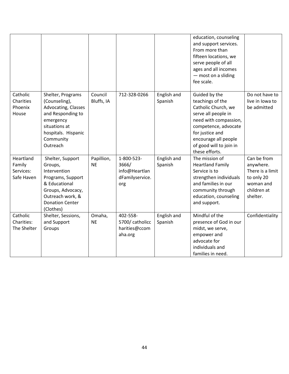|                                                |                                                                                                                                                                   |                         |                                                                |                        | education, counseling<br>and support services.<br>From more than<br>fifteen locations, we<br>serve people of all<br>ages and all incomes<br>- most on a sliding<br>fee scale.                                            |                                                                                                    |
|------------------------------------------------|-------------------------------------------------------------------------------------------------------------------------------------------------------------------|-------------------------|----------------------------------------------------------------|------------------------|--------------------------------------------------------------------------------------------------------------------------------------------------------------------------------------------------------------------------|----------------------------------------------------------------------------------------------------|
| Catholic<br>Charities<br>Phoenix<br>House      | Shelter, Programs<br>(Counseling),<br>Advocating, Classes<br>and Responding to<br>emergency<br>situations at<br>hospitals. Hispanic<br>Community<br>Outreach      | Council<br>Bluffs, IA   | 712-328-0266                                                   | English and<br>Spanish | Guided by the<br>teachings of the<br>Catholic Church, we<br>serve all people in<br>need with compassion,<br>competence, advocate<br>for justice and<br>encourage all people<br>of good will to join in<br>these efforts. | Do not have to<br>live in lowa to<br>be admitted                                                   |
| Heartland<br>Family<br>Services:<br>Safe Haven | Shelter, Support<br>Groups,<br>Intervention<br>Programs, Support<br>& Educational<br>Groups, Advocacy,<br>Outreach work, &<br><b>Donation Center</b><br>(Clothes) | Papillion,<br><b>NE</b> | 1-800-523-<br>3666/<br>info@Heartlan<br>dFamilyservice.<br>org | English and<br>Spanish | The mission of<br><b>Heartland Family</b><br>Service is to<br>strengthen individuals<br>and families in our<br>community through<br>education, counseling<br>and support.                                                | Can be from<br>anywhere.<br>There is a limit<br>to only 20<br>woman and<br>children at<br>shelter. |
| Catholic<br>Charities:<br>The Shelter          | Shelter, Sessions,<br>and Support<br>Groups                                                                                                                       | Omaha,<br><b>NE</b>     | 402-558-<br>5700/ catholicc<br>harities@ccom<br>aha.org        | English and<br>Spanish | Mindful of the<br>presence of God in our<br>midst, we serve,<br>empower and<br>advocate for<br>individuals and<br>families in need.                                                                                      | Confidentiality                                                                                    |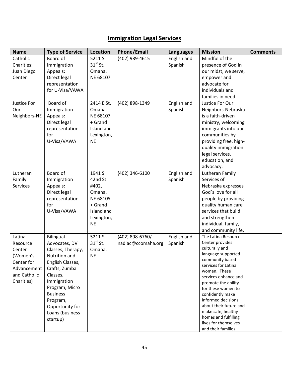## **Immigration Legal Services**

| <b>Name</b>  | <b>Type of Service</b> | Location   | <b>Phone/Email</b> | <b>Languages</b> | <b>Mission</b>                            | <b>Comments</b> |
|--------------|------------------------|------------|--------------------|------------------|-------------------------------------------|-----------------|
| Catholic     | Board of               | 5211 S.    | (402) 939-4615     | English and      | Mindful of the                            |                 |
| Charities:   | Immigration            | $31st$ St. |                    | Spanish          | presence of God in                        |                 |
| Juan Diego   | Appeals:               | Omaha,     |                    |                  | our midst, we serve,                      |                 |
| Center       | Direct legal           | NE 68107   |                    |                  | empower and                               |                 |
|              | representation         |            |                    |                  | advocate for                              |                 |
|              | for U-Visa/VAWA        |            |                    |                  | individuals and                           |                 |
|              |                        |            |                    |                  | families in need.                         |                 |
| Justice For  | Board of               | 2414 E St. | (402) 898-1349     | English and      | Justice For Our                           |                 |
| Our          | Immigration            | Omaha,     |                    | Spanish          | Neighbors-Nebraska                        |                 |
| Neighbors-NE | Appeals:               | NE 68107   |                    |                  | is a faith-driven                         |                 |
|              | Direct legal           | + Grand    |                    |                  | ministry, welcoming                       |                 |
|              | representation         | Island and |                    |                  | immigrants into our                       |                 |
|              | for                    | Lexington, |                    |                  | communities by                            |                 |
|              | U-Visa/VAWA            | <b>NE</b>  |                    |                  | providing free, high-                     |                 |
|              |                        |            |                    |                  | quality immigration                       |                 |
|              |                        |            |                    |                  | legal services,                           |                 |
|              |                        |            |                    |                  | education, and                            |                 |
|              |                        |            |                    |                  | advocacy.                                 |                 |
| Lutheran     | Board of               | 1941 S     | (402) 346-6100     | English and      | Lutheran Family                           |                 |
| Family       | Immigration            | 42nd St    |                    | Spanish          | Services of                               |                 |
| Services     | Appeals:               | #402,      |                    |                  | Nebraska expresses                        |                 |
|              | Direct legal           | Omaha,     |                    |                  | God's love for all                        |                 |
|              | representation         | NE 68105   |                    |                  | people by providing                       |                 |
|              | for                    | + Grand    |                    |                  | quality human care                        |                 |
|              | U-Visa/VAWA            | Island and |                    |                  | services that build                       |                 |
|              |                        | Lexington, |                    |                  | and strengthen                            |                 |
|              |                        | <b>NE</b>  |                    |                  | individual, family,                       |                 |
|              |                        |            |                    |                  | and community life.                       |                 |
| Latina       | <b>Bilingual</b>       | 5211 S.    | (402) 898-6760/    | English and      | The Latina Resource                       |                 |
| Resource     | Advocates, DV          | $31st$ St. | nadiac@ccomaha.org | Spanish          | Center provides                           |                 |
| Center       | Classes, Therapy,      | Omaha,     |                    |                  | culturally and                            |                 |
| (Women's     | Nutrition and          | <b>NE</b>  |                    |                  | language supported                        |                 |
| Center for   | English Classes,       |            |                    |                  | community based                           |                 |
| Advancement  | Crafts, Zumba          |            |                    |                  | services for Latina                       |                 |
| and Catholic | Classes,               |            |                    |                  | women. These                              |                 |
| Charities)   | Immigration            |            |                    |                  | services enhance and                      |                 |
|              | Program, Micro         |            |                    |                  | promote the ability<br>for these women to |                 |
|              | <b>Business</b>        |            |                    |                  | confidently make                          |                 |
|              | Program,               |            |                    |                  | informed decisions                        |                 |
|              | Opportunity for        |            |                    |                  | about their future and                    |                 |
|              | Loans (business        |            |                    |                  | make safe, healthy                        |                 |
|              | startup)               |            |                    |                  | homes and fulfilling                      |                 |
|              |                        |            |                    |                  | lives for themselves                      |                 |
|              |                        |            |                    |                  | and their families.                       |                 |